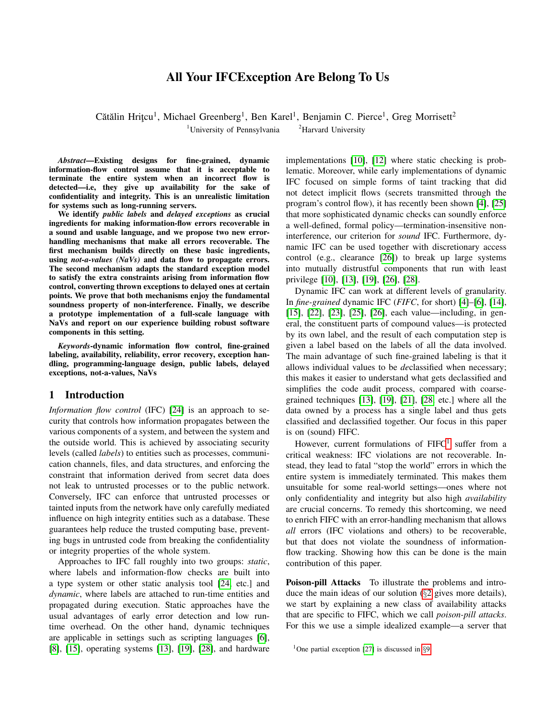# All Your IFCException Are Belong To Us

Cătălin Hrițcu<sup>1</sup>, Michael Greenberg<sup>1</sup>, Ben Karel<sup>1</sup>, Benjamin C. Pierce<sup>1</sup>, Greg Morrisett<sup>2</sup> <sup>1</sup>University of Pennsylvania  $\frac{2}{1}$ Harvard University

*Abstract*—Existing designs for fine-grained, dynamic information-flow control assume that it is acceptable to terminate the entire system when an incorrect flow is detected—i.e, they give up availability for the sake of confidentiality and integrity. This is an unrealistic limitation for systems such as long-running servers.

We identify *public labels* and *delayed exceptions* as crucial ingredients for making information-flow errors recoverable in a sound and usable language, and we propose two new errorhandling mechanisms that make all errors recoverable. The first mechanism builds directly on these basic ingredients, using *not-a-values (NaVs)* and data flow to propagate errors. The second mechanism adapts the standard exception model to satisfy the extra constraints arising from information flow control, converting thrown exceptions to delayed ones at certain points. We prove that both mechanisms enjoy the fundamental soundness property of non-interference. Finally, we describe a prototype implementation of a full-scale language with NaVs and report on our experience building robust software components in this setting.

*Keywords*-dynamic information flow control, fine-grained labeling, availability, reliability, error recovery, exception handling, programming-language design, public labels, delayed exceptions, not-a-values, NaVs

#### <span id="page-0-1"></span>1 Introduction

*Information flow control* (IFC) [\[24\]](#page-14-0) is an approach to security that controls how information propagates between the various components of a system, and between the system and the outside world. This is achieved by associating security levels (called *labels*) to entities such as processes, communication channels, files, and data structures, and enforcing the constraint that information derived from secret data does not leak to untrusted processes or to the public network. Conversely, IFC can enforce that untrusted processes or tainted inputs from the network have only carefully mediated influence on high integrity entities such as a database. These guarantees help reduce the trusted computing base, preventing bugs in untrusted code from breaking the confidentiality or integrity properties of the whole system.

Approaches to IFC fall roughly into two groups: *static*, where labels and information-flow checks are built into a type system or other static analysis tool [\[24,](#page-14-0) etc.] and *dynamic*, where labels are attached to run-time entities and propagated during execution. Static approaches have the usual advantages of early error detection and low runtime overhead. On the other hand, dynamic techniques are applicable in settings such as scripting languages [\[6\]](#page-14-1), [\[8\]](#page-14-2), [\[15\]](#page-14-3), operating systems [\[13\]](#page-14-4), [\[19\]](#page-14-5), [\[28\]](#page-14-6), and hardware implementations [\[10\]](#page-14-7), [\[12\]](#page-14-8) where static checking is problematic. Moreover, while early implementations of dynamic IFC focused on simple forms of taint tracking that did not detect implicit flows (secrets transmitted through the program's control flow), it has recently been shown [\[4\]](#page-14-9), [\[25\]](#page-14-10) that more sophisticated dynamic checks can soundly enforce a well-defined, formal policy—termination-insensitive noninterference, our criterion for *sound* IFC. Furthermore, dynamic IFC can be used together with discretionary access control (e.g., clearance [\[26\]](#page-14-11)) to break up large systems into mutually distrustful components that run with least privilege [\[10\]](#page-14-7), [\[13\]](#page-14-4), [\[19\]](#page-14-5), [\[26\]](#page-14-11), [\[28\]](#page-14-6).

Dynamic IFC can work at different levels of granularity. In *fine-grained* dynamic IFC (*FIFC*, for short) [\[4\]](#page-14-9)–[\[6\]](#page-14-1), [\[14\]](#page-14-12), [\[15\]](#page-14-3), [\[22\]](#page-14-13), [\[23\]](#page-14-14), [\[25\]](#page-14-10), [\[26\]](#page-14-11), each value—including, in general, the constituent parts of compound values—is protected by its own label, and the result of each computation step is given a label based on the labels of all the data involved. The main advantage of such fine-grained labeling is that it allows individual values to be *de*classified when necessary; this makes it easier to understand what gets declassified and simplifies the code audit process, compared with coarsegrained techniques [\[13\]](#page-14-4), [\[19\]](#page-14-5), [\[21\]](#page-14-15), [\[28,](#page-14-6) etc.] where all the data owned by a process has a single label and thus gets classified and declassified together. Our focus in this paper is on (sound) FIFC.

However, current formulations of  $FIFC<sup>1</sup>$  $FIFC<sup>1</sup>$  $FIFC<sup>1</sup>$  suffer from a critical weakness: IFC violations are not recoverable. Instead, they lead to fatal "stop the world" errors in which the entire system is immediately terminated. This makes them unsuitable for some real-world settings—ones where not only confidentiality and integrity but also high *availability* are crucial concerns. To remedy this shortcoming, we need to enrich FIFC with an error-handling mechanism that allows *all* errors (IFC violations and others) to be recoverable, but that does not violate the soundness of informationflow tracking. Showing how this can be done is the main contribution of this paper.

Poison-pill Attacks To illustrate the problems and introduce the main ideas of our solution (§[2](#page-2-0) gives more details), we start by explaining a new class of availability attacks that are specific to FIFC, which we call *poison-pill attacks*. For this we use a simple idealized example—a server that

<span id="page-0-0"></span><sup>&</sup>lt;sup>1</sup>One partial exception [\[27\]](#page-14-16) is discussed in  $\S$ [9.](#page-12-0)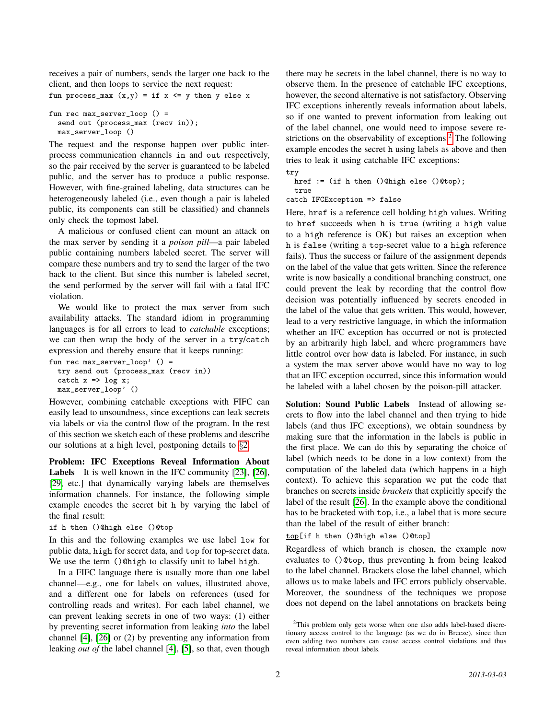receives a pair of numbers, sends the larger one back to the client, and then loops to service the next request:

fun process\_max  $(x,y) = if x \le y$  then y else x

```
fun rec max_server_loop () =
 send out (process_max (recv in));
 max_server_loop ()
```
The request and the response happen over public interprocess communication channels in and out respectively, so the pair received by the server is guaranteed to be labeled public, and the server has to produce a public response. However, with fine-grained labeling, data structures can be heterogeneously labeled (i.e., even though a pair is labeled public, its components can still be classified) and channels only check the topmost label.

A malicious or confused client can mount an attack on the max server by sending it a *poison pill*—a pair labeled public containing numbers labeled secret. The server will compare these numbers and try to send the larger of the two back to the client. But since this number is labeled secret, the send performed by the server will fail with a fatal IFC violation.

We would like to protect the max server from such availability attacks. The standard idiom in programming languages is for all errors to lead to *catchable* exceptions; we can then wrap the body of the server in a try/catch expression and thereby ensure that it keeps running:

```
fun rec max_server_loop' () =
  try send out (process_max (recv in))
  catch x \Rightarrow \log x;
  max_server_loop' ()
```
However, combining catchable exceptions with FIFC can easily lead to unsoundness, since exceptions can leak secrets via labels or via the control flow of the program. In the rest of this section we sketch each of these problems and describe our solutions at a high level, postponing details to §[2.](#page-2-0)

Problem: IFC Exceptions Reveal Information About Labels It is well known in the IFC community [\[23\]](#page-14-14), [\[26\]](#page-14-11), [\[29,](#page-14-17) etc.] that dynamically varying labels are themselves information channels. For instance, the following simple example encodes the secret bit h by varying the label of the final result:

```
if h then ()@high else ()@top
```
In this and the following examples we use label low for public data, high for secret data, and top for top-secret data. We use the term ()@high to classify unit to label high.

In a FIFC language there is usually more than one label channel—e.g., one for labels on values, illustrated above, and a different one for labels on references (used for controlling reads and writes). For each label channel, we can prevent leaking secrets in one of two ways: (1) either by preventing secret information from leaking *into* the label channel [\[4\]](#page-14-9), [\[26\]](#page-14-11) or (2) by preventing any information from leaking *out of* the label channel [\[4\]](#page-14-9), [\[5\]](#page-14-18), so that, even though there may be secrets in the label channel, there is no way to observe them. In the presence of catchable IFC exceptions, however, the second alternative is not satisfactory. Observing IFC exceptions inherently reveals information about labels, so if one wanted to prevent information from leaking out of the label channel, one would need to impose severe re-strictions on the observability of exceptions.<sup>[2](#page-1-0)</sup> The following example encodes the secret h using labels as above and then tries to leak it using catchable IFC exceptions:

```
try
 href := (if h then ()@high else ()@top);
 true
catch IFCException => false
```
Here, href is a reference cell holding high values. Writing to href succeeds when h is true (writing a high value to a high reference is OK) but raises an exception when h is false (writing a top-secret value to a high reference fails). Thus the success or failure of the assignment depends on the label of the value that gets written. Since the reference write is now basically a conditional branching construct, one could prevent the leak by recording that the control flow decision was potentially influenced by secrets encoded in the label of the value that gets written. This would, however, lead to a very restrictive language, in which the information whether an IFC exception has occurred or not is protected by an arbitrarily high label, and where programmers have little control over how data is labeled. For instance, in such a system the max server above would have no way to log that an IFC exception occurred, since this information would be labeled with a label chosen by the poison-pill attacker.

Solution: Sound Public Labels Instead of allowing secrets to flow into the label channel and then trying to hide labels (and thus IFC exceptions), we obtain soundness by making sure that the information in the labels is public in the first place. We can do this by separating the choice of label (which needs to be done in a low context) from the computation of the labeled data (which happens in a high context). To achieve this separation we put the code that branches on secrets inside *brackets* that explicitly specify the label of the result [\[26\]](#page-14-11). In the example above the conditional has to be bracketed with top, i.e., a label that is more secure than the label of the result of either branch:

top[if h then ()@high else ()@top]

Regardless of which branch is chosen, the example now evaluates to ()@top, thus preventing h from being leaked to the label channel. Brackets close the label channel, which allows us to make labels and IFC errors publicly observable. Moreover, the soundness of the techniques we propose does not depend on the label annotations on brackets being

<span id="page-1-0"></span><sup>&</sup>lt;sup>2</sup>This problem only gets worse when one also adds label-based discretionary access control to the language (as we do in Breeze), since then even adding two numbers can cause access control violations and thus reveal information about labels.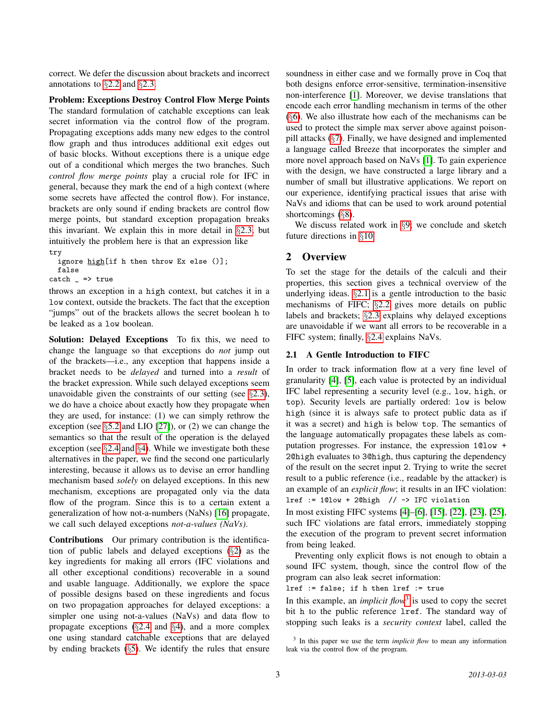correct. We defer the discussion about brackets and incorrect annotations to §[2.2](#page-3-0) and §[2.3.](#page-3-1)

Problem: Exceptions Destroy Control Flow Merge Points The standard formulation of catchable exceptions can leak secret information via the control flow of the program. Propagating exceptions adds many new edges to the control flow graph and thus introduces additional exit edges out of basic blocks. Without exceptions there is a unique edge out of a conditional which merges the two branches. Such *control flow merge points* play a crucial role for IFC in general, because they mark the end of a high context (where some secrets have affected the control flow). For instance, brackets are only sound if ending brackets are control flow merge points, but standard exception propagation breaks this invariant. We explain this in more detail in §[2.3,](#page-3-1) but intuitively the problem here is that an expression like try

ignore high[if h then throw Ex else ()]; false

 $\text{catch}$   $\Rightarrow$  true

throws an exception in a high context, but catches it in a low context, outside the brackets. The fact that the exception "jumps" out of the brackets allows the secret boolean h to be leaked as a low boolean.

Solution: Delayed Exceptions To fix this, we need to change the language so that exceptions do *not* jump out of the brackets—i.e., any exception that happens inside a bracket needs to be *delayed* and turned into a *result* of the bracket expression. While such delayed exceptions seem unavoidable given the constraints of our setting (see §[2.3\)](#page-3-1), we do have a choice about exactly how they propagate when they are used, for instance: (1) we can simply rethrow the exception (see §[5.2](#page-9-0) and LIO [\[27\]](#page-14-16)), or (2) we can change the semantics so that the result of the operation is the delayed exception (see §[2.4](#page-4-0) and §[4\)](#page-7-0). While we investigate both these alternatives in the paper, we find the second one particularly interesting, because it allows us to devise an error handling mechanism based *solely* on delayed exceptions. In this new mechanism, exceptions are propagated only via the data flow of the program. Since this is to a certain extent a generalization of how not-a-numbers (NaNs) [\[16\]](#page-14-19) propagate, we call such delayed exceptions *not-a-values (NaVs)*.

Contributions Our primary contribution is the identification of public labels and delayed exceptions (§[2\)](#page-2-0) as the key ingredients for making all errors (IFC violations and all other exceptional conditions) recoverable in a sound and usable language. Additionally, we explore the space of possible designs based on these ingredients and focus on two propagation approaches for delayed exceptions: a simpler one using not-a-values (NaVs) and data flow to propagate exceptions  $(\S2.4 \text{ and } \S4)$  $(\S2.4 \text{ and } \S4)$  $(\S2.4 \text{ and } \S4)$  $(\S2.4 \text{ and } \S4)$ , and a more complex one using standard catchable exceptions that are delayed by ending brackets (§[5\)](#page-8-0). We identify the rules that ensure soundness in either case and we formally prove in Coq that both designs enforce error-sensitive, termination-insensitive non-interference [\[1\]](#page-14-20). Moreover, we devise translations that encode each error handling mechanism in terms of the other (§[6\)](#page-9-1). We also illustrate how each of the mechanisms can be used to protect the simple max server above against poisonpill attacks (§[7\)](#page-10-0). Finally, we have designed and implemented a language called Breeze that incorporates the simpler and more novel approach based on NaVs [\[1\]](#page-14-20). To gain experience with the design, we have constructed a large library and a number of small but illustrative applications. We report on our experience, identifying practical issues that arise with NaVs and idioms that can be used to work around potential shortcomings (§[8\)](#page-10-1).

We discuss related work in §[9;](#page-12-0) we conclude and sketch future directions in §[10.](#page-13-0)

## <span id="page-2-0"></span>2 Overview

To set the stage for the details of the calculi and their properties, this section gives a technical overview of the underlying ideas. §[2.1](#page-2-1) is a gentle introduction to the basic mechanisms of FIFC; §[2.2](#page-3-0) gives more details on public labels and brackets; §[2.3](#page-3-1) explains why delayed exceptions are unavoidable if we want all errors to be recoverable in a FIFC system; finally, §[2.4](#page-4-0) explains NaVs.

### <span id="page-2-1"></span>2.1 A Gentle Introduction to FIFC

In order to track information flow at a very fine level of granularity [\[4\]](#page-14-9), [\[5\]](#page-14-18), each value is protected by an individual IFC label representing a security level (e.g., low, high, or top). Security levels are partially ordered: low is below high (since it is always safe to protect public data as if it was a secret) and high is below top. The semantics of the language automatically propagates these labels as computation progresses. For instance, the expression 1@low + 2@high evaluates to 3@high, thus capturing the dependency of the result on the secret input 2. Trying to write the secret result to a public reference (i.e., readable by the attacker) is an example of an *explicit flow*; it results in an IFC violation:  $lref := 1@low + 2@high$  // -> IFC violation

In most existing FIFC systems [\[4\]](#page-14-9)–[\[6\]](#page-14-1), [\[15\]](#page-14-3), [\[22\]](#page-14-13), [\[23\]](#page-14-14), [\[25\]](#page-14-10), such IFC violations are fatal errors, immediately stopping the execution of the program to prevent secret information from being leaked.

Preventing only explicit flows is not enough to obtain a sound IFC system, though, since the control flow of the program can also leak secret information:

lref := false; if h then lref := true

In this example, an *implicit flow*<sup>[3](#page-2-2)</sup> is used to copy the secret bit h to the public reference lref. The standard way of stopping such leaks is a *security context* label, called the

<span id="page-2-2"></span><sup>&</sup>lt;sup>3</sup> In this paper we use the term *implicit flow* to mean any information leak via the control flow of the program.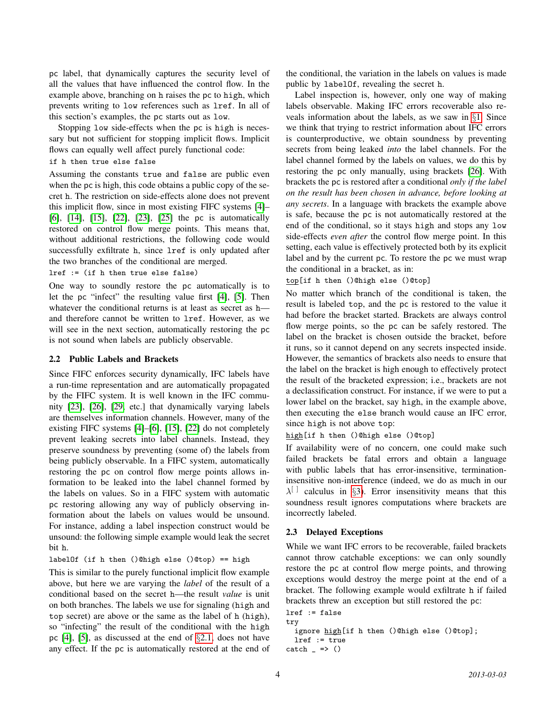pc label, that dynamically captures the security level of all the values that have influenced the control flow. In the example above, branching on h raises the pc to high, which prevents writing to low references such as lref. In all of this section's examples, the pc starts out as low.

Stopping low side-effects when the pc is high is necessary but not sufficient for stopping implicit flows. Implicit flows can equally well affect purely functional code:

```
if h then true else false
```
Assuming the constants true and false are public even when the pc is high, this code obtains a public copy of the secret h. The restriction on side-effects alone does not prevent this implicit flow, since in most existing FIFC systems [\[4\]](#page-14-9)– [\[6\]](#page-14-1), [\[14\]](#page-14-12), [\[15\]](#page-14-3), [\[22\]](#page-14-13), [\[23\]](#page-14-14), [\[25\]](#page-14-10) the pc is automatically restored on control flow merge points. This means that, without additional restrictions, the following code would successfully exfiltrate h, since lref is only updated after the two branches of the conditional are merged.

lref := (if h then true else false)

One way to soundly restore the pc automatically is to let the pc "infect" the resulting value first [\[4\]](#page-14-9), [\[5\]](#page-14-18). Then whatever the conditional returns is at least as secret as h and therefore cannot be written to lref. However, as we will see in the next section, automatically restoring the pc is not sound when labels are publicly observable.

## <span id="page-3-0"></span>2.2 Public Labels and Brackets

Since FIFC enforces security dynamically, IFC labels have a run-time representation and are automatically propagated by the FIFC system. It is well known in the IFC community [\[23\]](#page-14-14), [\[26\]](#page-14-11), [\[29,](#page-14-17) etc.] that dynamically varying labels are themselves information channels. However, many of the existing FIFC systems [\[4\]](#page-14-9)–[\[6\]](#page-14-1), [\[15\]](#page-14-3), [\[22\]](#page-14-13) do not completely prevent leaking secrets into label channels. Instead, they preserve soundness by preventing (some of) the labels from being publicly observable. In a FIFC system, automatically restoring the pc on control flow merge points allows information to be leaked into the label channel formed by the labels on values. So in a FIFC system with automatic pc restoring allowing any way of publicly observing information about the labels on values would be unsound. For instance, adding a label inspection construct would be unsound: the following simple example would leak the secret bit h.

labelOf (if h then ()@high else ()@top) == high

This is similar to the purely functional implicit flow example above, but here we are varying the *label* of the result of a conditional based on the secret h—the result *value* is unit on both branches. The labels we use for signaling (high and top secret) are above or the same as the label of h (high), so "infecting" the result of the conditional with the high pc [\[4\]](#page-14-9), [\[5\]](#page-14-18), as discussed at the end of §[2.1,](#page-2-1) does not have any effect. If the pc is automatically restored at the end of the conditional, the variation in the labels on values is made public by labelOf, revealing the secret h.

Label inspection is, however, only one way of making labels observable. Making IFC errors recoverable also reveals information about the labels, as we saw in §[1.](#page-0-1) Since we think that trying to restrict information about IFC errors is counterproductive, we obtain soundness by preventing secrets from being leaked *into* the label channels. For the label channel formed by the labels on values, we do this by restoring the pc only manually, using brackets [\[26\]](#page-14-11). With brackets the pc is restored after a conditional *only if the label on the result has been chosen in advance, before looking at any secrets*. In a language with brackets the example above is safe, because the pc is not automatically restored at the end of the conditional, so it stays high and stops any low side-effects *even after* the control flow merge point. In this setting, each value is effectively protected both by its explicit label and by the current pc. To restore the pc we must wrap the conditional in a bracket, as in:

top[if h then ()@high else ()@top]

No matter which branch of the conditional is taken, the result is labeled top, and the pc is restored to the value it had before the bracket started. Brackets are always control flow merge points, so the pc can be safely restored. The label on the bracket is chosen outside the bracket, before it runs, so it cannot depend on any secrets inspected inside. However, the semantics of brackets also needs to ensure that the label on the bracket is high enough to effectively protect the result of the bracketed expression; i.e., brackets are not a declassification construct. For instance, if we were to put a lower label on the bracket, say high, in the example above, then executing the else branch would cause an IFC error, since high is not above top:

high[if h then ()@high else ()@top]

If availability were of no concern, one could make such failed brackets be fatal errors and obtain a language with public labels that has error-insensitive, terminationinsensitive non-interference (indeed, we do as much in our  $\lambda^{[]}$  calculus in §[3\)](#page-4-1). Error insensitivity means that this soundness result ignores computations where brackets are incorrectly labeled.

## <span id="page-3-1"></span>2.3 Delayed Exceptions

While we want IFC errors to be recoverable, failed brackets cannot throw catchable exceptions: we can only soundly restore the pc at control flow merge points, and throwing exceptions would destroy the merge point at the end of a bracket. The following example would exfiltrate h if failed brackets threw an exception but still restored the pc:

```
lref := false
try
  ignore high[if h then ()@high else ()@top];
  lref := true
\text{catch} \Rightarrow ()
```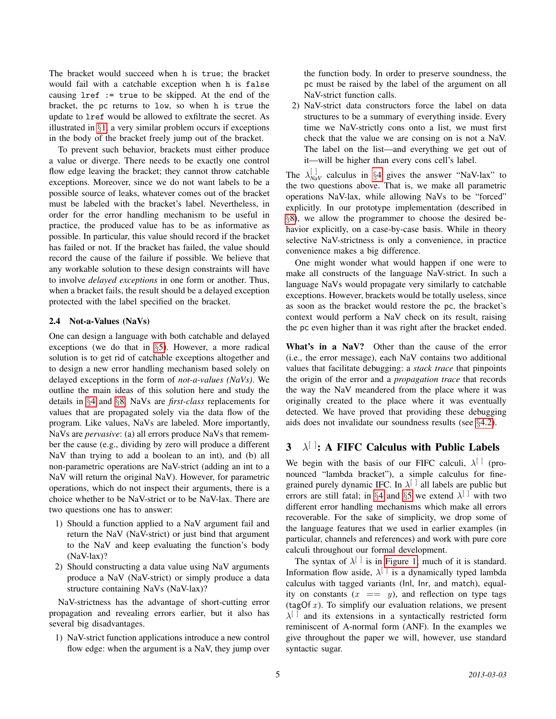The bracket would succeed when h is true; the bracket would fail with a catchable exception when h is false causing lref := true to be skipped. At the end of the bracket, the pc returns to low, so when h is true the update to lref would be allowed to exfiltrate the secret. As illustrated in §[1,](#page-0-1) a very similar problem occurs if exceptions in the body of the bracket freely jump out of the bracket.

To prevent such behavior, brackets must either produce a value or diverge. There needs to be exactly one control flow edge leaving the bracket; they cannot throw catchable exceptions. Moreover, since we do not want labels to be a possible source of leaks, whatever comes out of the bracket must be labeled with the bracket's label. Nevertheless, in order for the error handling mechanism to be useful in practice, the produced value has to be as informative as possible. In particular, this value should record if the bracket has failed or not. If the bracket has failed, the value should record the cause of the failure if possible. We believe that any workable solution to these design constraints will have to involve *delayed exceptions* in one form or another. Thus, when a bracket fails, the result should be a delayed exception protected with the label specified on the bracket.

### <span id="page-4-0"></span>2.4 Not-a-Values (NaVs)

One can design a language with both catchable and delayed exceptions (we do that in §[5\)](#page-8-0). However, a more radical solution is to get rid of catchable exceptions altogether and to design a new error handling mechanism based solely on delayed exceptions in the form of *not-a-values (NaVs)*. We outline the main ideas of this solution here and study the details in §[4](#page-7-0) and §[8.](#page-10-1) NaVs are *first-class* replacements for values that are propagated solely via the data flow of the program. Like values, NaVs are labeled. More importantly, NaVs are *pervasive*: (a) all errors produce NaVs that remember the cause (e.g., dividing by zero will produce a different NaV than trying to add a boolean to an int), and (b) all non-parametric operations are NaV-strict (adding an int to a NaV will return the original NaV). However, for parametric operations, which do not inspect their arguments, there is a choice whether to be NaV-strict or to be NaV-lax. There are two questions one has to answer:

- 1) Should a function applied to a NaV argument fail and return the NaV (NaV-strict) or just bind that argument to the NaV and keep evaluating the function's body (NaV-lax)?
- 2) Should constructing a data value using NaV arguments produce a NaV (NaV-strict) or simply produce a data structure containing NaVs (NaV-lax)?

NaV-strictness has the advantage of short-cutting error propagation and revealing errors earlier, but it also has several big disadvantages.

1) NaV-strict function applications introduce a new control flow edge: when the argument is a NaV, they jump over the function body. In order to preserve soundness, the pc must be raised by the label of the argument on all NaV-strict function calls.

2) NaV-strict data constructors force the label on data structures to be a summary of everything inside. Every time we NaV-strictly cons onto a list, we must first check that the value we are consing on is not a NaV. The label on the list—and everything we get out of it—will be higher than every cons cell's label.

The  $\lambda_{NaV}^{[]}$  calculus in §[4](#page-7-0) gives the answer "NaV-lax" to the two questions above. That is, we make all parametric operations NaV-lax, while allowing NaVs to be "forced" explicitly. In our prototype implementation (described in §[8\)](#page-10-1), we allow the programmer to choose the desired behavior explicitly, on a case-by-case basis. While in theory selective NaV-strictness is only a convenience, in practice convenience makes a big difference.

One might wonder what would happen if one were to make all constructs of the language NaV-strict. In such a language NaVs would propagate very similarly to catchable exceptions. However, brackets would be totally useless, since as soon as the bracket would restore the pc, the bracket's context would perform a NaV check on its result, raising the pc even higher than it was right after the bracket ended.

What's in a NaV? Other than the cause of the error (i.e., the error message), each NaV contains two additional values that facilitate debugging: a *stack trace* that pinpoints the origin of the error and a *propagation trace* that records the way the NaV meandered from the place where it was originally created to the place where it was eventually detected. We have proved that providing these debugging aids does not invalidate our soundness results (see §[4.2\)](#page-8-1).

# <span id="page-4-1"></span> $3 \lambda^{[]}$ : A FIFC Calculus with Public Labels

We begin with the basis of our FIFC calculi,  $\lambda^{[]}$  (pronounced "lambda bracket"), a simple calculus for finegrained purely dynamic IFC. In  $\lambda^{[]}$  all labels are public but errors are still fatal; in §[4](#page-7-0) and §[5](#page-8-0) we extend  $\lambda^{[\ ]}$  with two different error handling mechanisms which make all errors recoverable. For the sake of simplicity, we drop some of the language features that we used in earlier examples (in particular, channels and references) and work with pure core calculi throughout our formal development.

The syntax of  $\lambda^{[\ ]}$  is in [Figure 1;](#page-5-0) much of it is standard. Information flow aside,  $\lambda^{[\ ]}$  is a dynamically typed lambda calculus with tagged variants (Inl, Inr, and match), equality on constants  $(x == y)$ , and reflection on type tags (tagOf  $x$ ). To simplify our evaluation relations, we present  $\lambda^{[]}$  and its extensions in a syntactically restricted form reminiscent of A-normal form (ANF). In the examples we give throughout the paper we will, however, use standard syntactic sugar.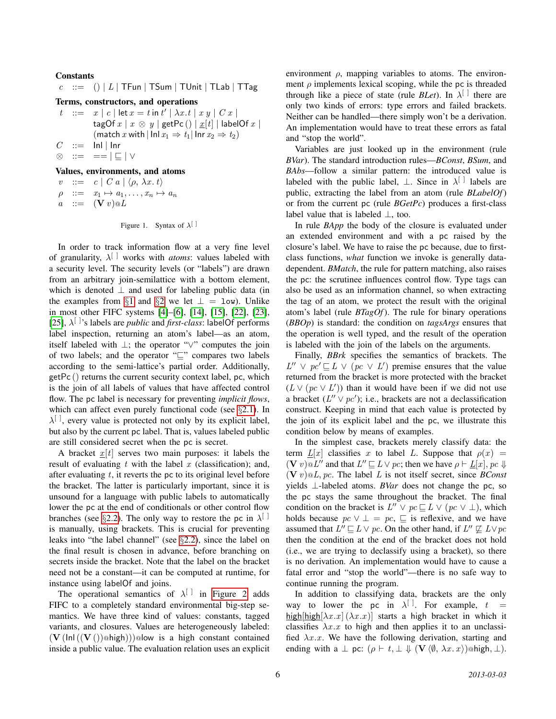#### Constants

 $c$  ::= () | L | TFun | TSum | TUnit | TLab | TTag

```
Terms, constructors, and operations
```

```
t ::= x | c | \det x = t \text{ in } t' | \lambda x. t | x y | C x |tagOf x \mid x \otimes y \mid getPc () \mid x[t] \mid labelOf x \mid(match x with |\ln x_1 \Rightarrow t_1| \ln x_2 \Rightarrow t_2)
C ::= Inl | Inr
⊗ ::= == | v | ∨
```
### Values, environments, and atoms

|  | $v := c \mid C a \mid \langle \rho, \lambda x. t \rangle$ |
|--|-----------------------------------------------------------|
|  | $\rho$ ::= $x_1 \mapsto a_1, \ldots, x_n \mapsto a_n$     |
|  | $a \quad ::= \quad (\mathbf{V} \ v) \mathbf{0} L$         |

```
Figure 1. Syntax of \lambda^{[\ ]}
```
In order to track information flow at a very fine level of granularity, λ [ ] works with *atoms*: values labeled with a security level. The security levels (or "labels") are drawn from an arbitrary join-semilattice with a bottom element, which is denoted  $\perp$  and used for labeling public data (in the examples from §[1](#page-0-1) and §[2](#page-2-0) we let  $\perp$  = low). Unlike in most other FIFC systems [\[4\]](#page-14-9)–[\[6\]](#page-14-1), [\[14\]](#page-14-12), [\[15\]](#page-14-3), [\[22\]](#page-14-13), [\[23\]](#page-14-14), [\[25\]](#page-14-10),  $\lambda^{[\ ]}$ 's labels are *public* and *first-class*: labelOf performs label inspection, returning an atom's label—as an atom, itself labeled with ⊥; the operator "∨" computes the join of two labels; and the operator " $\sqsubseteq$ " compares two labels according to the semi-lattice's partial order. Additionally, getPc () returns the current security context label, pc, which is the join of all labels of values that have affected control flow. The pc label is necessary for preventing *implicit flows*, which can affect even purely functional code (see §[2.1\)](#page-2-1). In  $\lambda^{[]}$ , every value is protected not only by its explicit label, but also by the current pc label. That is, values labeled public are still considered secret when the pc is secret.

A bracket  $x[t]$  serves two main purposes: it labels the result of evaluating  $t$  with the label  $x$  (classification); and, after evaluating  $t$ , it reverts the pc to its original level before the bracket. The latter is particularly important, since it is unsound for a language with public labels to automatically lower the pc at the end of conditionals or other control flow branches (see §[2.2\)](#page-3-0). The only way to restore the pc in  $\lambda^{[\ ]}$ is manually, using brackets. This is crucial for preventing leaks into "the label channel" (see §[2.2\)](#page-3-0), since the label on the final result is chosen in advance, before branching on secrets inside the bracket. Note that the label on the bracket need not be a constant—it can be computed at runtime, for instance using labelOf and joins.

The operational semantics of  $\lambda^{[\ ]}$  in [Figure 2](#page-6-0) adds FIFC to a completely standard environmental big-step semantics. We have three kind of values: constants, tagged variants, and closures. Values are heterogeneously labeled:  $(V(\ln(\mathbf{V}())\otimes\mathbf{high}))\otimes\mathbf{low}$  is a high constant contained inside a public value. The evaluation relation uses an explicit environment  $\rho$ , mapping variables to atoms. The environment  $\rho$  implements lexical scoping, while the pc is threaded through like a piece of state (rule *BLet*). In  $\lambda^{[\ ]}$  there are only two kinds of errors: type errors and failed brackets. Neither can be handled—there simply won't be a derivation. An implementation would have to treat these errors as fatal and "stop the world".

Variables are just looked up in the environment (rule *BVar*). The standard introduction rules—*BConst*, *BSum*, and *BAbs*—follow a similar pattern: the introduced value is labeled with the public label,  $\perp$ . Since in  $\lambda^{\lfloor}$  labels are public, extracting the label from an atom (rule *BLabelOf*) or from the current pc (rule *BGetPc*) produces a first-class label value that is labeled  $\bot$ , too.

In rule *BApp* the body of the closure is evaluated under an extended environment and with a pc raised by the closure's label. We have to raise the pc because, due to firstclass functions, *what* function we invoke is generally datadependent. *BMatch*, the rule for pattern matching, also raises the pc: the scrutinee influences control flow. Type tags can also be used as an information channel, so when extracting the tag of an atom, we protect the result with the original atom's label (rule *BTagOf*). The rule for binary operations (*BBOp*) is standard: the condition on *tagsArgs* ensures that the operation is well typed, and the result of the operation is labeled with the join of the labels on the arguments.

Finally, *BBrk* specifies the semantics of brackets. The  $L'' \vee pc' \sqsubseteq L \vee (pc \vee L')$  premise ensures that the value returned from the bracket is more protected with the bracket  $(L \vee (pc \vee L'))$  than it would have been if we did not use a bracket  $(L'' \vee pc')$ ; i.e., brackets are not a declassification construct. Keeping in mind that each value is protected by the join of its explicit label and the pc, we illustrate this condition below by means of examples.

In the simplest case, brackets merely classify data: the term  $L[x]$  classifies x to label L. Suppose that  $\rho(x)$  =  $(V v) \otimes L''$  and that  $L'' \sqsubseteq L \vee pc$ ; then we have  $\rho \vdash \underline{L}[x], pc \Downarrow$  $(V v) \, \mathcal{Q} L, pc$ . The label L is not itself secret, since *BConst* yields ⊥-labeled atoms. *BVar* does not change the pc, so the pc stays the same throughout the bracket. The final condition on the bracket is  $L'' \vee pc \sqsubseteq L \vee (pc \vee \bot)$ , which holds because  $pc \vee \perp = pc$ ,  $\sqsubseteq$  is reflexive, and we have assumed that  $L'' \sqsubseteq L \vee pc$ . On the other hand, if  $L'' \not\sqsubseteq L \vee pc$ then the condition at the end of the bracket does not hold (i.e., we are trying to declassify using a bracket), so there is no derivation. An implementation would have to cause a fatal error and "stop the world"—there is no safe way to continue running the program.

In addition to classifying data, brackets are the only way to lower the pc in  $\lambda^{[]}$ . For example,  $t =$ high[high $[\lambda x.x](\lambda x.x)]$  starts a high bracket in which it classifies  $\lambda x \cdot x$  to high and then applies it to an unclassified  $\lambda x.x$ . We have the following derivation, starting and ending with a  $\perp$  pc:  $(\rho \vdash t, \perp \Downarrow (\mathbf{V} \langle \emptyset, \lambda x. x) )$  @high,  $\perp$ ).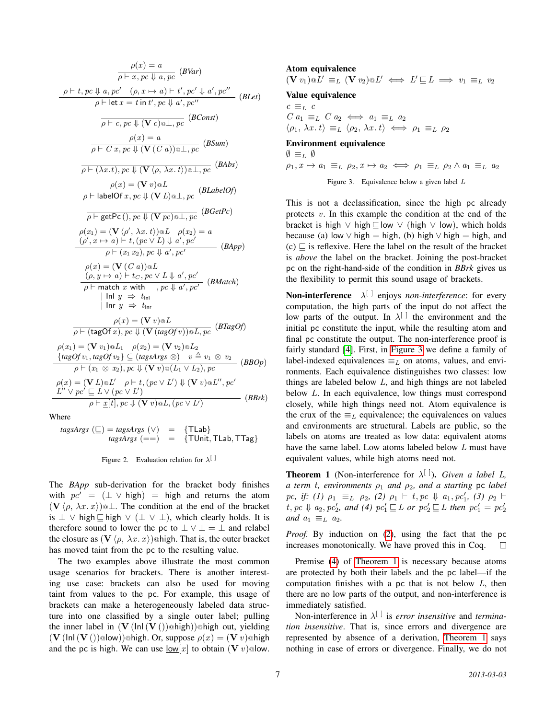$$
\rho(x) = a
$$

$$
\rho + t, pc \Downarrow a, pc' \quad (\rho, x \mapsto a) + t', pc' \Downarrow a', pc''
$$

$$
\rho + t, pc \Downarrow a, pc' \quad (\rho, x \mapsto a) + t', pc' \Downarrow a', pc''
$$

$$
\rho + \text{let } x = t \text{ in } t', pc \Downarrow a', pc''
$$

$$
\rho(x) = a
$$

$$
\rho(x) = a
$$

$$
\rho(x) = a
$$

$$
\rho(x) = a
$$

$$
\rho(x) = a
$$

$$
\rho(x) = a
$$

$$
\rho(x) = a
$$

$$
\rho(x) = a
$$

$$
\rho(x) = a
$$

$$
\rho(x) = (\text{V}(V(\rho, \lambda x, t)) \otimes \perp, pc \quad (B\Delta b s)
$$

$$
\rho(x) = (\text{V}(V(\rho, \lambda x, t)) \otimes \perp, pc \quad (B\Delta b s)
$$

$$
\rho(x) = (\text{V}(V(\rho, \lambda x, t)) \otimes \perp, pc \quad (B\Delta b s)
$$

$$
\rho(x) = (\text{V}(V(\rho, \lambda x, t)) \otimes \perp, pc \quad (B\Delta b s)
$$

$$
\rho(x) = (\text{V}(V(\rho, \lambda x, t)) \otimes \perp, pc \quad (B\Delta b s)
$$

$$
\rho(x) = (\text{V}(V(\rho, \lambda x, t)) \otimes \perp, pc \quad (B\Delta b s)
$$

$$
\rho(x) = (\text{V}(V(\rho, \lambda x, t)) \otimes \perp, pc \quad (B\Delta b s)
$$

$$
\rho(x) = (\text{V}(V(\rho, \lambda x, t)) \otimes \perp, pc \quad (B\Delta b s)
$$

$$
\rho(x) = (\text{V}(V(\rho, \lambda x, t)) \otimes \perp, pc \quad (BA \rho p)
$$

$$
\rho(x) = (\text{V}(V(\rho, \lambda x, t)) \otimes \perp, pc \quad (BA \rho p)
$$

$$
\rho(x) = (\text{V}(V(\rho, \lambda x, t)) \otimes \perp, pc \quad (BA \rho p)
$$

$$
\rho(x) = (\text{V}(V(\rho, \lambda x, t)) \otimes \perp, pc \quad (BA \rho p)
$$

Where

 $tagsArgs (\sqsubseteq) = tagsArgs (\vee) = {\text{TLab}}$ <br>  $tagsArgs (= =) = {\text{TUnit}}$  $\{$  TUnit, TLab, TTag}

<span id="page-6-0"></span>

The *BApp* sub-derivation for the bracket body finishes with  $pc' = (\perp \vee high) = high$  and returns the atom  $(V \langle \rho, \lambda x. x \rangle)$   $\subset \mathbb{L}$ . The condition at the end of the bracket is  $\perp$  ∨ high  $\Box$  high  $\lor$  ( $\perp$   $\lor$   $\perp$ ), which clearly holds. It is therefore sound to lower the pc to  $\bot \vee \bot = \bot$  and relabel the closure as  $(\mathbf{V} \langle \rho, \lambda x. x \rangle)$  @high. That is, the outer bracket has moved taint from the pc to the resulting value.

The two examples above illustrate the most common usage scenarios for brackets. There is another interesting use case: brackets can also be used for moving taint from values to the pc. For example, this usage of brackets can make a heterogeneously labeled data structure into one classified by a single outer label; pulling the inner label in  $(V(\text{Inl}(V())@high))@high$  out, yielding  $(V(\text{Inl}(V())@low))@high.$  Or, suppose  $\rho(x) = (Vv)@high$ and the pc is high. We can use  $\frac{1}{c}$  to obtain  $(V v)$  olow.

Atom equivalence  $(\mathbf{V} v_1) \otimes L' \equiv_L (\mathbf{V} v_2) \otimes L' \iff L' \sqsubseteq L \implies v_1 \equiv_L v_2$ Value equivalence  $c \equiv_L c$  $C a_1 \equiv_L C a_2 \iff a_1 \equiv_L a_2$  $\langle \rho_1, \, \lambda x. \, t \rangle \equiv_L \langle \rho_2, \, \lambda x. \, t \rangle \iff \rho_1 \equiv_L \rho_2$ Environment equivalence  $\emptyset \equiv_L \emptyset$  $\rho_1, x \mapsto a_1 \equiv_L \rho_2, x \mapsto a_2 \iff \rho_1 \equiv_L \rho_2 \land a_1 \equiv_L a_2$ Figure 3. Equivalence below a given label L

<span id="page-6-1"></span>This is not a declassification, since the high pc already protects  $v$ . In this example the condition at the end of the bracket is high  $∨$  high  $□$  low  $∨$  (high  $∨$  low), which holds because (a) low  $\vee$  high = high, (b) high  $\vee$  high = high, and  $(c)$   $\sqsubset$  is reflexive. Here the label on the result of the bracket is *above* the label on the bracket. Joining the post-bracket pc on the right-hand-side of the condition in *BBrk* gives us the flexibility to permit this sound usage of brackets.

**Non-interference**  $\lambda^{[]}$  enjoys *non-interference*: for every computation, the high parts of the input do not affect the low parts of the output. In  $\lambda^{[\ ]}$  the environment and the initial pc constitute the input, while the resulting atom and final pc constitute the output. The non-interference proof is fairly standard [\[4\]](#page-14-9). First, in [Figure 3](#page-6-1) we define a family of label-indexed equivalences  $\equiv_L$  on atoms, values, and environments. Each equivalence distinguishes two classes: low things are labeled below L, and high things are not labeled below L. In each equivalence, low things must correspond closely, while high things need not. Atom equivalence is the crux of the  $\equiv_L$  equivalence; the equivalences on values and environments are structural. Labels are public, so the labels on atoms are treated as low data: equivalent atoms have the same label. Low atoms labeled below L must have equivalent values, while high atoms need not.

<span id="page-6-4"></span><span id="page-6-3"></span><span id="page-6-2"></span>**Theorem 1** (Non-interference for  $\lambda^{[\ ]}$ ). *Given a label L*, *a term t, environments*  $\rho_1$  *and*  $\rho_2$ *, and a starting* pc *label*  $pc, if: (1)$   $\rho_1 \equiv_L \rho_2$ , (2)  $\rho_1 \vdash t, pc \Downarrow a_1, pc'_1$ , (3)  $\rho_2 \vdash$  $t, pc \Downarrow a_2, pc'_2$ , and (4)  $pc'_1 \sqsubseteq L$  or  $pc'_2 \sqsubseteq L$  then  $pc'_1 = pc'_2$ *and*  $a_1 \equiv_L a_2$ *.* 

*Proof.* By induction on [\(2\)](#page-6-2), using the fact that the pc increases monotonically. We have proved this in Coq.  $\Box$ 

Premise [\(4\)](#page-6-3) of [Theorem 1](#page-6-4) is necessary because atoms are protected by both their labels and the pc label—if the computation finishes with a pc that is not below  $L$ , then there are no low parts of the output, and non-interference is immediately satisfied.

Non-interference in λ [ ] is *error insensitive* and *termination insensitive*. That is, since errors and divergence are represented by absence of a derivation, [Theorem 1](#page-6-4) says nothing in case of errors or divergence. Finally, we do not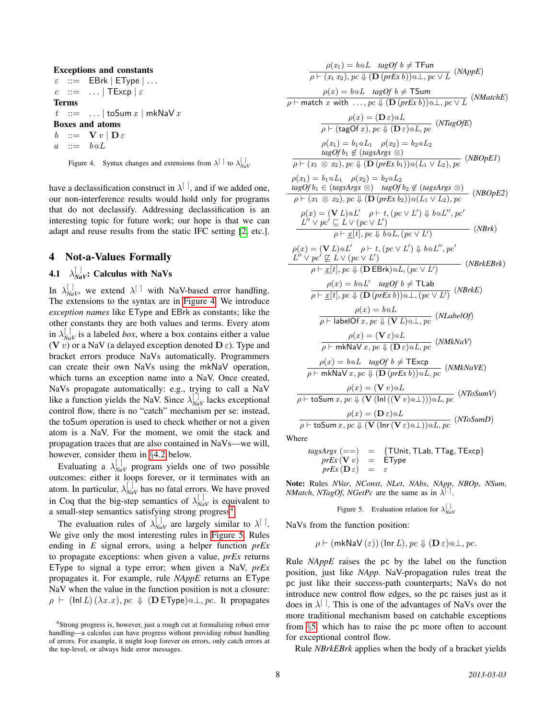#### Exceptions and constants

```
\varepsilon : = EBrk | EType | ...
c ::= ... | TExcp | \varepsilonTerms
t ::= ... | toSum x | mkNaV xBoxes and atoms
b ::= V v | D \varepsilona \quad ::= \quad b \otimes L
```
<span id="page-7-1"></span>Figure 4. Syntax changes and extensions from  $\lambda^{[]}$  to  $\lambda^{[]}_{\text{Nav}}$ 

have a declassification construct in  $\lambda^{[]}$ , and if we added one, our non-interference results would hold only for programs that do not declassify. Addressing declassification is an interesting topic for future work; our hope is that we can adapt and reuse results from the static IFC setting [\[2,](#page-14-21) etc.].

### <span id="page-7-0"></span>4 Not-a-Values Formally

# <span id="page-7-4"></span>**4.1**  $\lambda_{\text{N}aV}^{[.]}$ : Calculus with NaVs

In  $\lambda_{\text{NaV}}^{[]}$ , we extend  $\lambda^{[]}$  with NaV-based error handling. The extensions to the syntax are in [Figure 4.](#page-7-1) We introduce *exception names* like EType and EBrk as constants; like the other constants they are both values and terms. Every atom in  $\lambda_{\text{NaV}}^{[]}$  is a labeled *box*, where a box contains either a value (V v) or a NaV (a delayed exception denoted  $\mathbf{D} \varepsilon$ ). Type and bracket errors produce NaVs automatically. Programmers can create their own NaVs using the mkNaV operation, which turns an exception name into a NaV. Once created, NaVs propagate automatically: e.g., trying to call a NaV like a function yields the NaV. Since  $\lambda_{NaV}^{[1]}$  lacks exceptional control flow, there is no "catch" mechanism per se: instead, the toSum operation is used to check whether or not a given atom is a NaV. For the moment, we omit the stack and propagation traces that are also contained in NaVs—we will, however, consider them in §[4.2](#page-8-1) below.

Evaluating a  $\lambda_{NaV}^{[]}$  program yields one of two possible outcomes: either it loops forever, or it terminates with an atom. In particular,  $\lambda_{\text{NaV}}^{[1]}$  has no fatal errors. We have proved in Coq that the big-step semantics of  $\lambda_{NaV}^{[]}$  is equivalent to a small-step semantics satisfying strong progress<sup>[4](#page-7-2)</sup>.

The evaluation rules of  $\lambda_{\text{NaV}}^{[]}$  are largely similar to  $\lambda^{[]}$ . We give only the most interesting rules in [Figure 5.](#page-7-3) Rules ending in *E* signal errors, using a helper function *prEx* to propagate exceptions: when given a value, *prEx* returns EType to signal a type error; when given a NaV, *prEx* propagates it. For example, rule *NAppE* returns an EType NaV when the value in the function position is not a closure:  $\rho \vdash (\text{In} L) (\lambda x.x), pc \Downarrow (\mathbf{D} \mathsf{EType}) \otimes \bot, pc.$  It propagates

$$
\rho(x_1) = b \otimes L \tag{AppE}
$$
\n
$$
\rho(x_1) = b \otimes L \tag{AppE}
$$
\n
$$
\rho(x) = b \otimes L \tag{AppE}
$$
\n
$$
\rho(x) = b \otimes L \tag{AppE}
$$
\n
$$
\rho(x) = b \otimes L \tag{AppE}
$$
\n
$$
\rho(x) = b \otimes L \tag{AppE}
$$
\n
$$
\rho(x) = (\mathbf{D} \varepsilon) \otimes L, pc \quad (\text{NHachE})
$$
\n
$$
\rho(x) = (\mathbf{D} \varepsilon) \otimes L, pc \quad (\text{NHagOFE})
$$
\n
$$
\rho(x_1) = b_1 \otimes L_1 \quad \rho(x_2) = b_2 \otimes L_2
$$
\n
$$
\frac{\log Of b_1 \notin (\text{lagsArg} \otimes \otimes)}{\log Of b_1 \notin (\text{lagsArg} \otimes \otimes)} \quad (\text{MSOpE1})
$$
\n
$$
\rho(x_1) = b_1 \otimes L_1 \quad \rho(x_2) = b_2 \otimes L_2
$$
\n
$$
\frac{\log Of b_1 \in (\text{argsArgs} \otimes) \quad \text{tagof } b_2 \notin (\text{argsArgs} \otimes)}{\rho + (x_1 \otimes x_2), pc \downarrow (\mathbf{D} (prEx b_1)) \otimes (L_1 \vee L_2), pc} \quad (\text{NBOpE2})
$$
\n
$$
\rho(x) = (\mathbf{V} L) \otimes L' \quad \rho + t, (pc \vee L') \downarrow b \otimes L'', pc'
$$
\n
$$
\frac{\rho(x) = (\mathbf{V} L) \otimes L' \quad \rho + t, (pc \vee L') \downarrow b \otimes L'', pc'
$$
\n
$$
\frac{\rho(x) = (\mathbf{V} L) \otimes L' \quad \rho + t, (pc \vee L') \downarrow b \otimes L'', pc' \qquad (\text{NBrk})}{\rho + \underline{x}[t], pc \downarrow (\mathbf{D} \in \text{Brk}) \otimes L, (pc \vee L')} \quad (\text{NBrk})
$$
\n
$$
\frac{\rho(x) = b \otimes L' \quad \text{tagof } b \neq \text{TLab}
$$
\n
$$
\frac{\rho
$$

$$
tagsArgs (==) = {TUnit, TLab, TTag, TExcp}
$$

 $prEx(\mathbf{V} v) = \mathbf{EType}$  $prEx(\mathbf{D}\varepsilon) = \varepsilon$ 

Note: Rules *NVar*, *NConst*, *NLet*, *NAbs*, *NApp*, *NBOp*, *NSum*, *NMatch, NTagOf, NGetPc* are the same as in  $\lambda^{\lceil}$ .

<span id="page-7-3"></span>Figure 5. Evaluation relation for  $\lambda_{\text{NaV}}^{[~]}$ 

NaVs from the function position:

$$
\rho \vdash (\mathsf{mk} \mathsf{NaV}(\varepsilon)) (\mathsf{Inr}\,L), pc \Downarrow (\mathbf{D}\,\varepsilon) \mathsf{a} \perp, pc.
$$

Rule *NAppE* raises the pc by the label on the function position, just like *NApp*. NaV-propagation rules treat the pc just like their success-path counterparts; NaVs do not introduce new control flow edges, so the pc raises just as it does in  $\lambda^{[\ ]}$ . This is one of the advantages of NaVs over the more traditional mechanism based on catchable exceptions from §[5,](#page-8-0) which has to raise the pc more often to account for exceptional control flow.

Rule *NBrkEBrk* applies when the body of a bracket yields

<span id="page-7-2"></span><sup>4</sup>Strong progress is, however, just a rough cut at formalizing robust error handling—a calculus can have progress without providing robust handling of errors. For example, it might loop forever on errors, only catch errors at the top-level, or always hide error messages.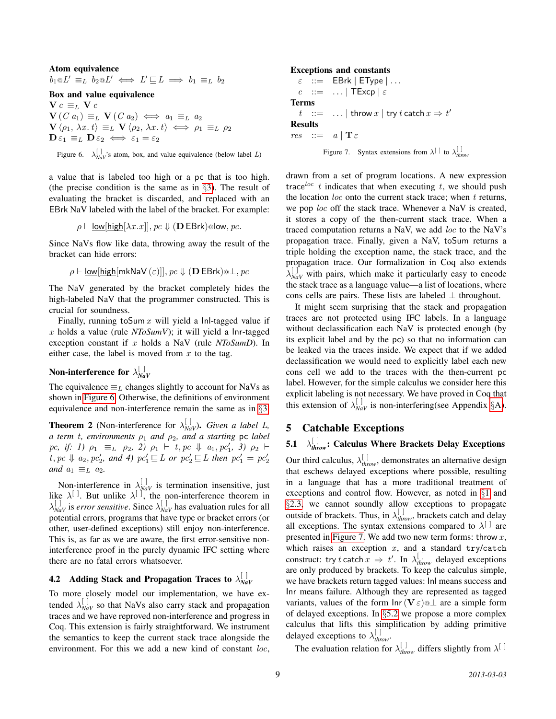### Atom equivalence

 $b_1 \otimes L' \equiv_L b_2 \otimes L' \iff L' \sqsubseteq L \implies b_1 \equiv_L b_2$ 

### Box and value equivalence

 $c \equiv_L **V**$  $c$  $\mathbf{V}(C \ a_1) \equiv_L \mathbf{V}(C \ a_2) \iff a_1 \equiv_L a_2$  $\mathbf{V} \langle \rho_1, \lambda x. t \rangle \equiv_L \mathbf{V} \langle \rho_2, \lambda x. t \rangle \iff \rho_1 \equiv_L \rho_2$  $\mathbf{D}\,\varepsilon_1 \equiv_L \mathbf{D}\,\varepsilon_2 \iff \varepsilon_1 = \varepsilon_2$ 

<span id="page-8-2"></span>Figure 6.  $\lambda_{NaV}^{[]}$ 's atom, box, and value equivalence (below label *L*)

a value that is labeled too high or a pc that is too high. (the precise condition is the same as in §[3\)](#page-4-1). The result of evaluating the bracket is discarded, and replaced with an EBrk NaV labeled with the label of the bracket. For example:

$$
\rho \vdash \underline{\text{low}[\text{high}[\lambda x.x]]}, pc \Downarrow (\mathbf{D} \mathsf{EBrk}) \text{slow}, pc.
$$

Since NaVs flow like data, throwing away the result of the bracket can hide errors:

$$
\rho \vdash \underline{\mathsf{low}[\mathsf{high}[\mathsf{mk} \mathsf{NaV}(\varepsilon)]], p\mathsf{c} \Downarrow (\mathbf{D} \mathsf{EBrk}) \texttt{a} \bot, p\mathsf{c}
$$

The NaV generated by the bracket completely hides the high-labeled NaV that the programmer constructed. This is crucial for soundness.

Finally, running to Sum  $x$  will yield a Inl-tagged value if x holds a value (rule *NToSumV*); it will yield a Inr-tagged exception constant if x holds a NaV (rule *NToSumD*). In either case, the label is moved from  $x$  to the tag.

#### Non-interference for  $\lambda_{Na}^{[\,\,]}$ *NaV*

The equivalence  $\equiv_L$  changes slightly to account for NaVs as shown in [Figure 6.](#page-8-2) Otherwise, the definitions of environment equivalence and non-interference remain the same as in §[3.](#page-4-1)

<span id="page-8-4"></span>**Theorem 2** (Non-interference for  $\lambda_{\text{NaV}}^{[1]}$ ). *Given a label L*, *a term* t*, environments* ρ<sup>1</sup> *and* ρ2*, and a starting* pc *label*  $pc, if: 1)$   $\rho_1 \equiv_L \rho_2, 2)$   $\rho_1 \vdash t, pc \Downarrow a_1, pc'_1, 3)$   $\rho_2 \vdash$  $t, pc \Downarrow a_2, pc'_2$ , and 4)  $pc'_1 \sqsubseteq L$  or  $pc'_2 \sqsubseteq L$  then  $pc'_1 = pc'_2$ *and*  $a_1 \equiv_L a_2$ *.* 

Non-interference in  $\lambda_{\text{NaV}}^{[]}$  is termination insensitive, just like  $\lambda^{[\ ]}$ . But unlike  $\lambda^{[\ ]}$ , the non-interference theorem in  $\lambda_{\text{NaV}}^{[~]}$  is *error sensitive*. Since  $\lambda_{\text{NaV}}^{[~]}$  has evaluation rules for all potential errors, programs that have type or bracket errors (or other, user-defined exceptions) still enjoy non-interference. This is, as far as we are aware, the first error-sensitive noninterference proof in the purely dynamic IFC setting where there are no fatal errors whatsoever.

#### <span id="page-8-1"></span>4.2 Adding Stack and Propagation Traces to  $\lambda_{Na}^{[\,\,]}$ *NaV*

To more closely model our implementation, we have extended  $\lambda_{\text{NaV}}^{[]}$  so that NaVs also carry stack and propagation traces and we have reproved non-interference and progress in Coq. This extension is fairly straightforward. We instrument the semantics to keep the current stack trace alongside the environment. For this we add a new kind of constant loc,

#### Exceptions and constants

```
\varepsilon : = EBrk | EType | ...
  c ::= ... | TExcp | \varepsilonTerms
   t ::= ... | throw x | try t catch x \Rightarrow t'Results
res ::= a | \mathbf{T} \varepsilon
```
<span id="page-8-3"></span>Figure 7. Syntax extensions from  $\lambda^{[\ ]}$  to  $\lambda^{[\ ]}_{\text{throw}}$ 

drawn from a set of program locations. A new expression trace  $\int_0^{\infty} t$  indicates that when executing t, we should push the location  $loc$  onto the current stack trace; when  $t$  returns, we pop loc off the stack trace. Whenever a NaV is created, it stores a copy of the then-current stack trace. When a traced computation returns a NaV, we add loc to the NaV's propagation trace. Finally, given a NaV, toSum returns a triple holding the exception name, the stack trace, and the propagation trace. Our formalization in Coq also extends  $\lambda_{\text{NaV}}^{[}$  with pairs, which make it particularly easy to encode the stack trace as a language value—a list of locations, where cons cells are pairs. These lists are labeled  $\perp$  throughout.

It might seem surprising that the stack and propagation traces are not protected using IFC labels. In a language without declassification each NaV is protected enough (by its explicit label and by the pc) so that no information can be leaked via the traces inside. We expect that if we added declassification we would need to explicitly label each new cons cell we add to the traces with the then-current pc label. However, for the simple calculus we consider here this explicit labeling is not necessary. We have proved in Coq that this extension of  $\lambda_{\text{NaV}}^{[]}$  is non-interfering(see Appendix §[A\)](#page-15-0).

## <span id="page-8-0"></span>5 Catchable Exceptions

#### <span id="page-8-5"></span>5.1 [ ] *throw*: Calculus Where Brackets Delay Exceptions

Our third calculus,  $\lambda_{\text{throw}}^{[]}$ , demonstrates an alternative design that eschews delayed exceptions where possible, resulting in a language that has a more traditional treatment of exceptions and control flow. However, as noted in §[1](#page-0-1) and §[2.3,](#page-3-1) we cannot soundly allow exceptions to propagate outside of brackets. Thus, in  $\lambda_{\text{throw}}^{[]}$ , brackets catch and delay all exceptions. The syntax extensions compared to  $\lambda^{[\ ]}$  are presented in [Figure 7.](#page-8-3) We add two new term forms: throw  $x$ , which raises an exception  $x$ , and a standard try/catch construct: try t catch  $x \Rightarrow t'$ . In  $\lambda_{\text{throw}}^{[]}$  delayed exceptions are only produced by brackets. To keep the calculus simple, we have brackets return tagged values: Inl means success and Inr means failure. Although they are represented as tagged variants, values of the form  $\ln r(\mathbf{V} \varepsilon)$  at a simple form of delayed exceptions. In §[5.2](#page-9-0) we propose a more complex calculus that lifts this simplification by adding primitive delayed exceptions to  $\lambda_{\text{throw}}^{[]}$ .

The evaluation relation for  $\lambda_{\text{throw}}^{[~]}$  differs slightly from  $\lambda^{[~]}$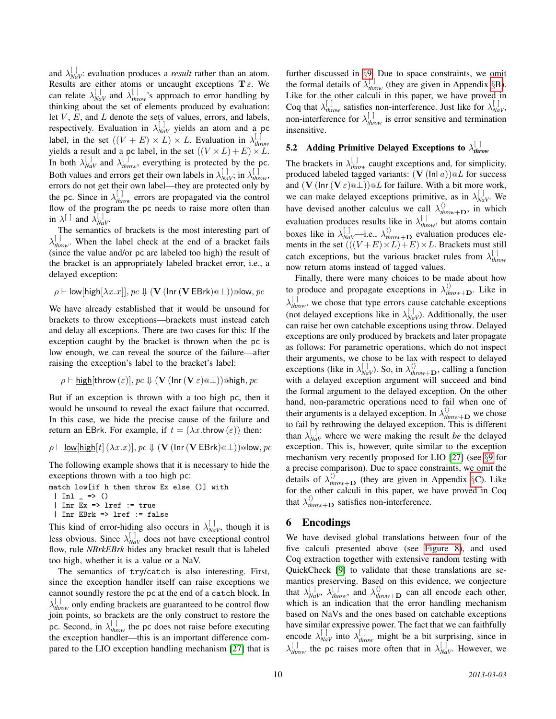and  $\lambda_{\text{NaV}}^{[1]}$ : evaluation produces a *result* rather than an atom. Results are either atoms or uncaught exceptions  $T \varepsilon$ . We can relate  $\lambda_{\text{NaV}}^{[]}$  and  $\lambda_{\text{throw}}^{[]}$ 's approach to error handling by thinking about the set of elements produced by evaluation: let  $V$ ,  $E$ , and  $L$  denote the sets of values, errors, and labels, respectively. Evaluation in  $\lambda_{NaV}^{[]}$  yields an atom and a pc label, in the set  $((V + E) \times L) \times L$ . Evaluation in  $\lambda_{thr}^{[.]}$ *throw* yields a result and a pc label, in the set  $((V \times L) + E) \times L$ . In both  $\lambda_{\text{NaV}}^{[]}$  and  $\lambda_{\text{throw}}^{[]}$ , everything is protected by the pc. Both values and errors get their own labels in  $\lambda_{\text{NaV}}^{[~]}$ ; in  $\lambda_{\text{throw}}^{[~]}$ , errors do not get their own label—they are protected only by the pc. Since in  $\lambda_{\text{throw}}^{[]}$  errors are propagated via the control flow of the program the pc needs to raise more often than in  $\lambda^{[\ ]}$  and  $\lambda^{[\ ]}_{\text{NaV}}$ .

The semantics of brackets is the most interesting part of  $\lambda_{\text{throw}}^{[]}$ . When the label check at the end of a bracket fails (since the value and/or pc are labeled too high) the result of the bracket is an appropriately labeled bracket error, i.e., a delayed exception:

$$
\rho \vdash \underline{\mathsf{low}[\mathsf{high}[\lambda x.x]], pc} \Downarrow (\mathbf{V} \, (\mathsf{Inr} \, (\mathbf{V} \, \mathsf{EBrk}) \textcircled{a}\bot)) \textcircled{a}\mathsf{low}, pc
$$

We have already established that it would be unsound for brackets to throw exceptions—brackets must instead catch and delay all exceptions. There are two cases for this: If the exception caught by the bracket is thrown when the pc is low enough, we can reveal the source of the failure—after raising the exception's label to the bracket's label:

$$
\rho \vdash \underline{\mathsf{high}}[\mathsf{throw}\,(\varepsilon)], pc \Downarrow (\mathbf{V}\,(\mathsf{Inr}\,(\mathbf{V}\,\varepsilon) \texttt{\textcircled{\tiny 1}})) \text{ohigh}, pc
$$

But if an exception is thrown with a too high pc, then it would be unsound to reveal the exact failure that occurred. In this case, we hide the precise cause of the failure and return an EBrk. For example, if  $t = (\lambda x.$ throw  $(\varepsilon))$  then:

$$
\rho \vdash \underline{\mathsf{low}[\mathsf{high}[t]\,(\lambda x.x)], \mathit{pc} \Downarrow (\mathbf{V}(\mathsf{Inr}\,(\mathbf{V}\,\mathsf{EBrk}) \textcircled{a}\bot)) \textcircled{a}\mathsf{low}, \mathit{pc}
$$

The following example shows that it is necessary to hide the exceptions thrown with a too high pc:

```
match low[if h then throw Ex else ()] with
```
- $| Inl = > ()$
- | Inr Ex => lref := true
- | Inr EBrk => lref := false

This kind of error-hiding also occurs in  $\lambda_{\text{NaV}}^{[1]}$ , though it is less obvious. Since  $\lambda_{\text{NaV}}^{[]}$  does not have exceptional control flow, rule *NBrkEBrk* hides any bracket result that is labeled too high, whether it is a value or a NaV.

The semantics of try/catch is also interesting. First, since the exception handler itself can raise exceptions we cannot soundly restore the pc at the end of a catch block. In  $\lambda_{\text{throw}}^{\left[ \cdot \right]}$  only ending brackets are guaranteed to be control flow join points, so brackets are the only construct to restore the pc. Second, in  $\lambda_{\text{throw}}^{\left[ \cdot \right]}$  the pc does not raise before executing the exception handler—this is an important difference compared to the LIO exception handling mechanism [\[27\]](#page-14-16) that is

further discussed in §[9.](#page-12-0) Due to space constraints, we omit the formal details of  $\lambda_{\text{throw}}^{[]}$  (they are given in Appendix §[B\)](#page-15-1). Like for the other calculi in this paper, we have proved in Coq that  $\lambda_{\text{throw}}^{[]}$  satisfies non-interference. Just like for  $\lambda_{\text{Nav}}^{[]}$ , non-interference for  $\lambda_{\text{throw}}^{[]}$  is error sensitive and termination insensitive.

#### <span id="page-9-0"></span>5.2 Adding Primitive Delayed Exceptions to  $\lambda_{thr}^{[~]}$ *throw*

The brackets in  $\lambda_{\text{throw}}^{[]}$  caught exceptions and, for simplicity, produced labeled tagged variants:  $(V (\ln a))@L$  for success and  $(V(\ln r(V \varepsilon) \& \perp)) \& L$  for failure. With a bit more work, we can make delayed exceptions primitive, as in  $\lambda_{\text{NaV}}^{[1]}$ . We have devised another calculus we call  $\lambda_{\text{throw}+\mathbf{D}}^{(i)}$ , in which evaluation produces results like in  $\lambda_{\text{throw}}^{[~]}$ , but atoms contain boxes like in  $\lambda_{\text{NaV}}^{[]}$  i.e.,  $\lambda_{\text{throw}+D}^{()}$  evaluation produces elements in the set  $(((V+E)\times L)+E)\times L$ . Brackets must still catch exceptions, but the various bracket rules from  $\lambda_{thr}^{[]}$ *throw* now return atoms instead of tagged values.

Finally, there were many choices to be made about how to produce and propagate exceptions in  $\lambda_{\text{throw}+D}^{(n)}$ . Like in  $\lambda_{\text{throw}}^{[~]}$ , we chose that type errors cause catchable exceptions (not delayed exceptions like in  $\lambda_{NaV}^{[]}$ ). Additionally, the user can raise her own catchable exceptions using throw. Delayed exceptions are only produced by brackets and later propagate as follows: For parametric operations, which do not inspect their arguments, we chose to be lax with respect to delayed exceptions (like in  $\lambda_{\text{Nav}}^{[]}$ ). So, in  $\lambda_{\text{throw+D}}^{(}$ , calling a function with a delayed exception argument will succeed and bind the formal argument to the delayed exception. On the other hand, non-parametric operations need to fail when one of their arguments is a delayed exception. In  $\lambda_{\text{throw}+\mathbf{D}}^{\langle\rangle}$  we chose to fail by rethrowing the delayed exception. This is different than  $\lambda_{\text{NaV}}^{[]}$  where we were making the result *be* the delayed exception. This is, however, quite similar to the exception mechanism very recently proposed for LIO [\[27\]](#page-14-16) (see §[9](#page-12-0) for a precise comparison). Due to space constraints, we omit the details of  $\lambda_{\text{throw}+D}^{(1)}$  (they are given in Appendix §[C\)](#page-17-0). Like for the other calculi in this paper, we have proved in Coq that  $\lambda_{\text{throw}+\mathbf{D}}^{(n)}$  satisfies non-interference.

### <span id="page-9-1"></span>6 Encodings

We have devised global translations between four of the five calculi presented above (see [Figure 8\)](#page-10-2), and used Coq extraction together with extensive random testing with QuickCheck [\[9\]](#page-14-22) to validate that these translations are semantics preserving. Based on this evidence, we conjecture that  $\lambda_{\text{NaV}}^{[]}, \lambda_{\text{throw}}^{[]}, \text{ and } \lambda_{\text{throw+D}}^{(\rangle}$  can all encode each other, which is an indication that the error handling mechanism based on NaVs and the ones based on catchable exceptions have similar expressive power. The fact that we can faithfully encode  $\lambda_{\text{Nav}}^{[]}$  into  $\lambda_{\text{throw}}^{[]}$  might be a bit surprising, since in  $\lambda_{\text{throw}}^{[]}$  the pc raises more often that in  $\lambda_{\text{NaV}}^{[]}$ . However, we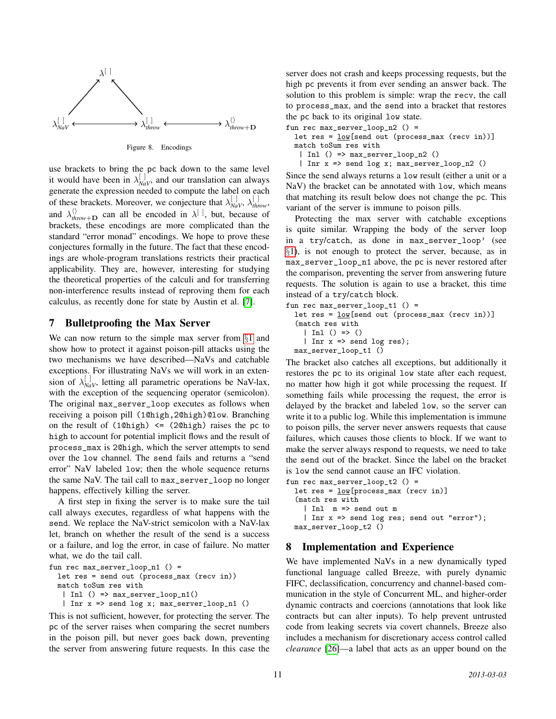

<span id="page-10-2"></span>Figure 8. Encodings

use brackets to bring the pc back down to the same level it would have been in  $\lambda_{\text{NaV}}^{[1]}$ , and our translation can always generate the expression needed to compute the label on each of these brackets. Moreover, we conjecture that  $\lambda_{\text{NaV}}^{[~]}$ ,  $\lambda_{\text{throw}}^{[~]}$ , and  $\lambda_{\text{throw}+D}^{(i)}$  can all be encoded in  $\lambda^{[i]}$ , but, because of brackets, these encodings are more complicated than the standard "error monad" encodings. We hope to prove these conjectures formally in the future. The fact that these encodings are whole-program translations restricts their practical applicability. They are, however, interesting for studying the theoretical properties of the calculi and for transferring non-interference results instead of reproving them for each calculus, as recently done for state by Austin et al. [\[7\]](#page-14-23).

### <span id="page-10-0"></span>7 Bulletproofing the Max Server

We can now return to the simple max server from  $\S1$  $\S1$  and show how to protect it against poison-pill attacks using the two mechanisms we have described—NaVs and catchable exceptions. For illustrating NaVs we will work in an extension of  $\lambda_{\text{NaV}}^{[]}$ , letting all parametric operations be NaV-lax, with the exception of the sequencing operator (semicolon). The original max\_server\_loop executes as follows when receiving a poison pill (1@high,2@high)@low. Branching on the result of  $(1@high) \leq (2@high)$  raises the pc to high to account for potential implicit flows and the result of process\_max is 2@high, which the server attempts to send over the low channel. The send fails and returns a "send error" NaV labeled low; then the whole sequence returns the same NaV. The tail call to max\_server\_loop no longer happens, effectively killing the server.

A first step in fixing the server is to make sure the tail call always executes, regardless of what happens with the send. We replace the NaV-strict semicolon with a NaV-lax let, branch on whether the result of the send is a success or a failure, and log the error, in case of failure. No matter what, we do the tail call.

```
fun rec max_server_loop_n1 () =
 let res = send out (process_max (recv in))
 match toSum res with
   | Inl () => max\_server\_loop_n1()| Inr x => send log x; max_server_loop_n1 ()
```
This is not sufficient, however, for protecting the server. The pc of the server raises when comparing the secret numbers in the poison pill, but never goes back down, preventing the server from answering future requests. In this case the server does not crash and keeps processing requests, but the high pc prevents it from ever sending an answer back. The solution to this problem is simple: wrap the recv, the call to process\_max, and the send into a bracket that restores the pc back to its original low state.

fun rec max\_server\_loop\_n2 () =

let res = low[send out (process\_max (recv in))] match toSum res with

- | Inl () => max\_server\_loop\_n2 ()
- | Inr x => send log x; max\_server\_loop\_n2 ()

Since the send always returns a low result (either a unit or a NaV) the bracket can be annotated with low, which means that matching its result below does not change the pc. This variant of the server is immune to poison pills.

Protecting the max server with catchable exceptions is quite similar. Wrapping the body of the server loop in a try/catch, as done in max\_server\_loop' (see §[1\)](#page-0-1), is not enough to protect the server, because, as in max\_server\_loop\_n1 above, the pc is never restored after the comparison, preventing the server from answering future requests. The solution is again to use a bracket, this time instead of a try/catch block.

```
fun rec max_server_loop_t1 () =
```

```
let res = \underline{\text{low}}[send out (process_max (recv in))]
(match res with
  | Inl () => ()
  | Inr x => send log res);
max_server_loop_t1 ()
```
The bracket also catches all exceptions, but additionally it restores the pc to its original low state after each request, no matter how high it got while processing the request. If something fails while processing the request, the error is delayed by the bracket and labeled low, so the server can write it to a public log. While this implementation is immune to poison pills, the server never answers requests that cause failures, which causes those clients to block. If we want to make the server always respond to requests, we need to take the send out of the bracket. Since the label on the bracket is low the send cannot cause an IFC violation.

```
fun rec max_server_loop_t2 () =
  let res = low[process_max (recv in)]
  (match res with
    | Inl m => send out m
    | Inr x => send log res; send out "error");
  max_server_loop_t2 ()
```
## <span id="page-10-1"></span>8 Implementation and Experience

We have implemented NaVs in a new dynamically typed functional language called Breeze, with purely dynamic FIFC, declassification, concurrency and channel-based communication in the style of Concurrent ML, and higher-order dynamic contracts and coercions (annotations that look like contracts but can alter inputs). To help prevent untrusted code from leaking secrets via covert channels, Breeze also includes a mechanism for discretionary access control called *clearance* [\[26\]](#page-14-11)—a label that acts as an upper bound on the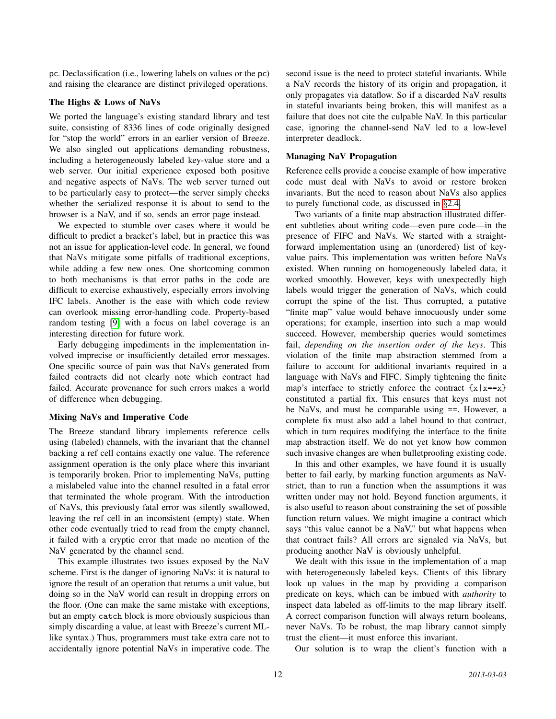pc. Declassification (i.e., lowering labels on values or the pc) and raising the clearance are distinct privileged operations.

#### The Highs & Lows of NaVs

We ported the language's existing standard library and test suite, consisting of 8336 lines of code originally designed for "stop the world" errors in an earlier version of Breeze. We also singled out applications demanding robustness, including a heterogeneously labeled key-value store and a web server. Our initial experience exposed both positive and negative aspects of NaVs. The web server turned out to be particularly easy to protect—the server simply checks whether the serialized response it is about to send to the browser is a NaV, and if so, sends an error page instead.

We expected to stumble over cases where it would be difficult to predict a bracket's label, but in practice this was not an issue for application-level code. In general, we found that NaVs mitigate some pitfalls of traditional exceptions, while adding a few new ones. One shortcoming common to both mechanisms is that error paths in the code are difficult to exercise exhaustively, especially errors involving IFC labels. Another is the ease with which code review can overlook missing error-handling code. Property-based random testing [\[9\]](#page-14-22) with a focus on label coverage is an interesting direction for future work.

Early debugging impediments in the implementation involved imprecise or insufficiently detailed error messages. One specific source of pain was that NaVs generated from failed contracts did not clearly note which contract had failed. Accurate provenance for such errors makes a world of difference when debugging.

#### Mixing NaVs and Imperative Code

The Breeze standard library implements reference cells using (labeled) channels, with the invariant that the channel backing a ref cell contains exactly one value. The reference assignment operation is the only place where this invariant is temporarily broken. Prior to implementing NaVs, putting a mislabeled value into the channel resulted in a fatal error that terminated the whole program. With the introduction of NaVs, this previously fatal error was silently swallowed, leaving the ref cell in an inconsistent (empty) state. When other code eventually tried to read from the empty channel, it failed with a cryptic error that made no mention of the NaV generated by the channel send.

This example illustrates two issues exposed by the NaV scheme. First is the danger of ignoring NaVs: it is natural to ignore the result of an operation that returns a unit value, but doing so in the NaV world can result in dropping errors on the floor. (One can make the same mistake with exceptions, but an empty catch block is more obviously suspicious than simply discarding a value, at least with Breeze's current MLlike syntax.) Thus, programmers must take extra care not to accidentally ignore potential NaVs in imperative code. The second issue is the need to protect stateful invariants. While a NaV records the history of its origin and propagation, it only propagates via dataflow. So if a discarded NaV results in stateful invariants being broken, this will manifest as a failure that does not cite the culpable NaV. In this particular case, ignoring the channel-send NaV led to a low-level interpreter deadlock.

### Managing NaV Propagation

Reference cells provide a concise example of how imperative code must deal with NaVs to avoid or restore broken invariants. But the need to reason about NaVs also applies to purely functional code, as discussed in §[2.4.](#page-4-0)

Two variants of a finite map abstraction illustrated different subtleties about writing code—even pure code—in the presence of FIFC and NaVs. We started with a straightforward implementation using an (unordered) list of keyvalue pairs. This implementation was written before NaVs existed. When running on homogeneously labeled data, it worked smoothly. However, keys with unexpectedly high labels would trigger the generation of NaVs, which could corrupt the spine of the list. Thus corrupted, a putative "finite map" value would behave innocuously under some operations; for example, insertion into such a map would succeed. However, membership queries would sometimes fail, *depending on the insertion order of the keys*. This violation of the finite map abstraction stemmed from a failure to account for additional invariants required in a language with NaVs and FIFC. Simply tightening the finite map's interface to strictly enforce the contract  $\{x \mid x = x\}$ constituted a partial fix. This ensures that keys must not be NaVs, and must be comparable using ==. However, a complete fix must also add a label bound to that contract, which in turn requires modifying the interface to the finite map abstraction itself. We do not yet know how common such invasive changes are when bulletproofing existing code.

In this and other examples, we have found it is usually better to fail early, by marking function arguments as NaVstrict, than to run a function when the assumptions it was written under may not hold. Beyond function arguments, it is also useful to reason about constraining the set of possible function return values. We might imagine a contract which says "this value cannot be a NaV," but what happens when that contract fails? All errors are signaled via NaVs, but producing another NaV is obviously unhelpful.

We dealt with this issue in the implementation of a map with heterogeneously labeled keys. Clients of this library look up values in the map by providing a comparison predicate on keys, which can be imbued with *authority* to inspect data labeled as off-limits to the map library itself. A correct comparison function will always return booleans, never NaVs. To be robust, the map library cannot simply trust the client—it must enforce this invariant.

Our solution is to wrap the client's function with a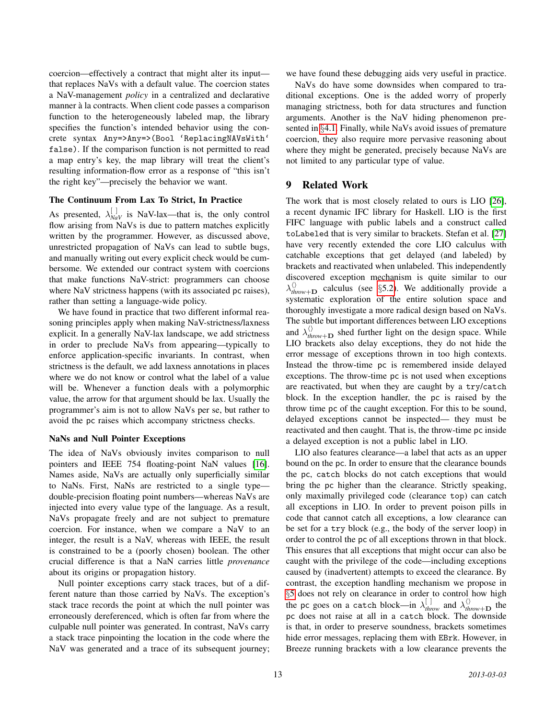coercion—effectively a contract that might alter its input that replaces NaVs with a default value. The coercion states a NaV-management *policy* in a centralized and declarative manner à la contracts. When client code passes a comparison function to the heterogeneously labeled map, the library specifies the function's intended behavior using the concrete syntax Any=>Any=>(Bool 'ReplacingNAVsWith' false). If the comparison function is not permitted to read a map entry's key, the map library will treat the client's resulting information-flow error as a response of "this isn't the right key"—precisely the behavior we want.

### The Continuum From Lax To Strict, In Practice

As presented,  $\lambda_{\text{NaV}}^{[]}$  is NaV-lax—that is, the only control flow arising from NaVs is due to pattern matches explicitly written by the programmer. However, as discussed above, unrestricted propagation of NaVs can lead to subtle bugs, and manually writing out every explicit check would be cumbersome. We extended our contract system with coercions that make functions NaV-strict: programmers can choose where NaV strictness happens (with its associated pc raises), rather than setting a language-wide policy.

We have found in practice that two different informal reasoning principles apply when making NaV-strictness/laxness explicit. In a generally NaV-lax landscape, we add strictness in order to preclude NaVs from appearing—typically to enforce application-specific invariants. In contrast, when strictness is the default, we add laxness annotations in places where we do not know or control what the label of a value will be. Whenever a function deals with a polymorphic value, the arrow for that argument should be lax. Usually the programmer's aim is not to allow NaVs per se, but rather to avoid the pc raises which accompany strictness checks.

#### NaNs and Null Pointer Exceptions

The idea of NaVs obviously invites comparison to null pointers and IEEE 754 floating-point NaN values [\[16\]](#page-14-19). Names aside, NaVs are actually only superficially similar to NaNs. First, NaNs are restricted to a single type double-precision floating point numbers—whereas NaVs are injected into every value type of the language. As a result, NaVs propagate freely and are not subject to premature coercion. For instance, when we compare a NaV to an integer, the result is a NaV, whereas with IEEE, the result is constrained to be a (poorly chosen) boolean. The other crucial difference is that a NaN carries little *provenance* about its origins or propagation history.

Null pointer exceptions carry stack traces, but of a different nature than those carried by NaVs. The exception's stack trace records the point at which the null pointer was erroneously dereferenced, which is often far from where the culpable null pointer was generated. In contrast, NaVs carry a stack trace pinpointing the location in the code where the NaV was generated and a trace of its subsequent journey; we have found these debugging aids very useful in practice.

NaVs do have some downsides when compared to traditional exceptions. One is the added worry of properly managing strictness, both for data structures and function arguments. Another is the NaV hiding phenomenon presented in §[4.1.](#page-7-4) Finally, while NaVs avoid issues of premature coercion, they also require more pervasive reasoning about where they might be generated, precisely because NaVs are not limited to any particular type of value.

## <span id="page-12-0"></span>9 Related Work

The work that is most closely related to ours is LIO [\[26\]](#page-14-11), a recent dynamic IFC library for Haskell. LIO is the first FIFC language with public labels and a construct called toLabeled that is very similar to brackets. Stefan et al. [\[27\]](#page-14-16) have very recently extended the core LIO calculus with catchable exceptions that get delayed (and labeled) by brackets and reactivated when unlabeled. This independently discovered exception mechanism is quite similar to our  $\lambda_{\text{throw}+D}^{(i)}$  calculus (see §[5.2\)](#page-9-0). We additionally provide a systematic exploration of the entire solution space and thoroughly investigate a more radical design based on NaVs. The subtle but important differences between LIO exceptions and  $\lambda_{\text{throw}+\mathbf{D}}^{(n)}$  shed further light on the design space. While LIO brackets also delay exceptions, they do not hide the error message of exceptions thrown in too high contexts. Instead the throw-time pc is remembered inside delayed exceptions. The throw-time pc is not used when exceptions are reactivated, but when they are caught by a try/catch block. In the exception handler, the pc is raised by the throw time pc of the caught exception. For this to be sound, delayed exceptions cannot be inspected— they must be reactivated and then caught. That is, the throw-time pc inside a delayed exception is not a public label in LIO.

LIO also features clearance—a label that acts as an upper bound on the pc. In order to ensure that the clearance bounds the pc, catch blocks do not catch exceptions that would bring the pc higher than the clearance. Strictly speaking, only maximally privileged code (clearance top) can catch all exceptions in LIO. In order to prevent poison pills in code that cannot catch all exceptions, a low clearance can be set for a try block (e.g., the body of the server loop) in order to control the pc of all exceptions thrown in that block. This ensures that all exceptions that might occur can also be caught with the privilege of the code—including exceptions caused by (inadvertent) attempts to exceed the clearance. By contrast, the exception handling mechanism we propose in §[5](#page-8-0) does not rely on clearance in order to control how high the pc goes on a catch block—in  $\lambda_{\text{throw}}^{[]}$  and  $\lambda_{\text{throw}+D}^{(\\\lambda)}$  the pc does not raise at all in a catch block. The downside is that, in order to preserve soundness, brackets sometimes hide error messages, replacing them with EBrk. However, in Breeze running brackets with a low clearance prevents the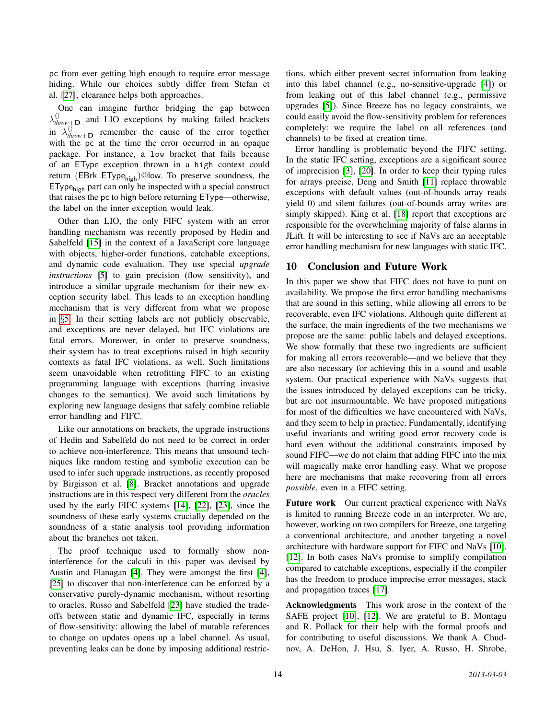pc from ever getting high enough to require error message hiding. While our choices subtly differ from Stefan et al. [\[27\]](#page-14-16), clearance helps both approaches.

One can imagine further bridging the gap between  $\lambda_{\text{throw}+\textbf{D}}^{(n)}$  and LIO exceptions by making failed brackets in  $\lambda_{\text{throw+D}}^{(i)}$  remember the cause of the error together with the pc at the time the error occurred in an opaque package. For instance, a low bracket that fails because of an EType exception thrown in a high context could return (EBrk EType $_{\text{high}}$ )@low. To preserve soundness, the  $EType<sub>high</sub>$  part can only be inspected with a special construct that raises the pc to high before returning EType—otherwise, the label on the inner exception would leak.

Other than LIO, the only FIFC system with an error handling mechanism was recently proposed by Hedin and Sabelfeld [\[15\]](#page-14-3) in the context of a JavaScript core language with objects, higher-order functions, catchable exceptions, and dynamic code evaluation. They use special *upgrade instructions* [\[5\]](#page-14-18) to gain precision (flow sensitivity), and introduce a similar upgrade mechanism for their new exception security label. This leads to an exception handling mechanism that is very different from what we propose in §[5.](#page-8-0) In their setting labels are not publicly observable, and exceptions are never delayed, but IFC violations are fatal errors. Moreover, in order to preserve soundness, their system has to treat exceptions raised in high security contexts as fatal IFC violations, as well. Such limitations seem unavoidable when retrofitting FIFC to an existing programming language with exceptions (barring invasive changes to the semantics). We avoid such limitations by exploring new language designs that safely combine reliable error handling and FIFC.

Like our annotations on brackets, the upgrade instructions of Hedin and Sabelfeld do not need to be correct in order to achieve non-interference. This means that unsound techniques like random testing and symbolic execution can be used to infer such upgrade instructions, as recently proposed by Birgisson et al. [\[8\]](#page-14-2). Bracket annotations and upgrade instructions are in this respect very different from the *oracles* used by the early FIFC systems [\[14\]](#page-14-12), [\[22\]](#page-14-13), [\[23\]](#page-14-14), since the soundness of these early systems crucially depended on the soundness of a static analysis tool providing information about the branches not taken.

The proof technique used to formally show noninterference for the calculi in this paper was devised by Austin and Flanagan [\[4\]](#page-14-9). They were amongst the first [\[4\]](#page-14-9), [\[25\]](#page-14-10) to discover that non-interference can be enforced by a conservative purely-dynamic mechanism, without resorting to oracles. Russo and Sabelfeld [\[23\]](#page-14-14) have studied the tradeoffs between static and dynamic IFC, especially in terms of flow-sensitivity: allowing the label of mutable references to change on updates opens up a label channel. As usual, preventing leaks can be done by imposing additional restrictions, which either prevent secret information from leaking into this label channel (e.g., no-sensitive-upgrade [\[4\]](#page-14-9)) or from leaking out of this label channel (e.g., permissive upgrades [\[5\]](#page-14-18)). Since Breeze has no legacy constraints, we could easily avoid the flow-sensitivity problem for references completely: we require the label on all references (and channels) to be fixed at creation time.

Error handling is problematic beyond the FIFC setting. In the static IFC setting, exceptions are a significant source of imprecision [\[3\]](#page-14-24), [\[20\]](#page-14-25). In order to keep their typing rules for arrays precise, Deng and Smith [\[11\]](#page-14-26) replace throwable exceptions with default values (out-of-bounds array reads yield 0) and silent failures (out-of-bounds array writes are simply skipped). King et al. [\[18\]](#page-14-27) report that exceptions are responsible for the overwhelming majority of false alarms in JLift. It will be interesting to see if NaVs are an acceptable error handling mechanism for new languages with static IFC.

## <span id="page-13-0"></span>10 Conclusion and Future Work

In this paper we show that FIFC does not have to punt on availability. We propose the first error handling mechanisms that are sound in this setting, while allowing all errors to be recoverable, even IFC violations. Although quite different at the surface, the main ingredients of the two mechanisms we propose are the same: public labels and delayed exceptions. We show formally that these two ingredients are sufficient for making all errors recoverable—and we believe that they are also necessary for achieving this in a sound and usable system. Our practical experience with NaVs suggests that the issues introduced by delayed exceptions can be tricky, but are not insurmountable. We have proposed mitigations for most of the difficulties we have encountered with NaVs, and they seem to help in practice. Fundamentally, identifying useful invariants and writing good error recovery code is hard even without the additional constraints imposed by sound FIFC—we do not claim that adding FIFC into the mix will magically make error handling easy. What we propose here are mechanisms that make recovering from all errors *possible*, even in a FIFC setting.

Future work Our current practical experience with NaVs is limited to running Breeze code in an interpreter. We are, however, working on two compilers for Breeze, one targeting a conventional architecture, and another targeting a novel architecture with hardware support for FIFC and NaVs [\[10\]](#page-14-7), [\[12\]](#page-14-8). In both cases NaVs promise to simplify compilation compared to catchable exceptions, especially if the compiler has the freedom to produce imprecise error messages, stack and propagation traces [\[17\]](#page-14-28).

Acknowledgments This work arose in the context of the SAFE project [\[10\]](#page-14-7), [\[12\]](#page-14-8). We are grateful to B. Montagu and R. Pollack for their help with the formal proofs and for contributing to useful discussions. We thank A. Chudnov, A. DeHon, J. Hsu, S. Iyer, A. Russo, H. Shrobe,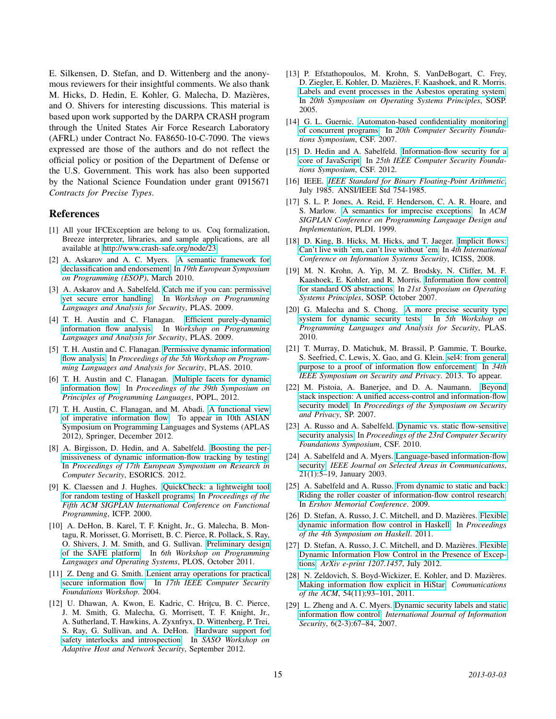E. Silkensen, D. Stefan, and D. Wittenberg and the anonymous reviewers for their insightful comments. We also thank M. Hicks, D. Hedin, E. Kohler, G. Malecha, D. Mazieres, ` and O. Shivers for interesting discussions. This material is based upon work supported by the DARPA CRASH program through the United States Air Force Research Laboratory (AFRL) under Contract No. FA8650-10-C-7090. The views expressed are those of the authors and do not reflect the official policy or position of the Department of Defense or the U.S. Government. This work has also been supported by the National Science Foundation under grant 0915671 *Contracts for Precise Types*.

### References

- <span id="page-14-20"></span>[1] All your IFCException are belong to us. Coq formalization, Breeze interpreter, libraries, and sample applications, are all available at [http://www.crash-safe.org/node/23.](http://www.crash-safe.org/node/23)
- <span id="page-14-21"></span>[2] A. Askarov and A. C. Myers. [A semantic framework for](http://www.cs.cornell.edu/andru/papers/robknowledge.pdf) [declassification and endorsement.](http://www.cs.cornell.edu/andru/papers/robknowledge.pdf) In *19th European Symposium on Programming (ESOP)*, March 2010.
- <span id="page-14-24"></span>[3] A. Askarov and A. Sabelfeld. [Catch me if you can: permissive](http://people.seas.harvard.edu/~aslan/askarov-sabelfeld-plas09.pdf) [yet secure error handling.](http://people.seas.harvard.edu/~aslan/askarov-sabelfeld-plas09.pdf) In *Workshop on Programming Languages and Analysis for Security*, PLAS. 2009.
- <span id="page-14-9"></span>[4] T. H. Austin and C. Flanagan. [Efficient purely-dynamic](http://slang.soe.ucsc.edu/cormac/papers/plas09.pdf) [information flow analysis.](http://slang.soe.ucsc.edu/cormac/papers/plas09.pdf) In *Workshop on Programming Languages and Analysis for Security*, PLAS. 2009.
- <span id="page-14-18"></span>[5] T. H. Austin and C. Flanagan. [Permissive dynamic information](http://users.soe.ucsc.edu/~cormac/papers/plas10.pdf) [flow analysis.](http://users.soe.ucsc.edu/~cormac/papers/plas10.pdf) In *Proceedings of the 5th Workshop on Programming Languages and Analysis for Security*, PLAS. 2010.
- <span id="page-14-1"></span>[6] T. H. Austin and C. Flanagan. [Multiple facets for dynamic](http://users.soe.ucsc.edu/~cormac/papers/popl12b.pdf) [information flow.](http://users.soe.ucsc.edu/~cormac/papers/popl12b.pdf) In *Proceedings of the 39th Symposium on Principles of Programming Languages*, POPL, 2012.
- <span id="page-14-23"></span>[7] T. H. Austin, C. Flanagan, and M. Abadi. [A functional view](http://www.soe.ucsc.edu/research/technical-reports/ucsc-soe-12-15) [of imperative information flow.](http://www.soe.ucsc.edu/research/technical-reports/ucsc-soe-12-15) To appear in 10th ASIAN Symposium on Programming Languages and Systems (APLAS 2012), Springer, December 2012.
- <span id="page-14-2"></span>[8] A. Birgisson, D. Hedin, and A. Sabelfeld. [Boosting the per](http://www.cse.chalmers.se/~andrei/esorics12.pdf)[missiveness of dynamic information-flow tracking by testing.](http://www.cse.chalmers.se/~andrei/esorics12.pdf) In *Proceedings of 17th European Symposium on Research in Computer Security*, ESORICS. 2012.
- <span id="page-14-22"></span>[9] K. Claessen and J. Hughes. [QuickCheck: a lightweight tool](http://www.eecs.northwestern.edu/~robby/courses/395-495-2009-fall/quick.pdf) [for random testing of Haskell programs.](http://www.eecs.northwestern.edu/~robby/courses/395-495-2009-fall/quick.pdf) In *Proceedings of the Fifth ACM SIGPLAN International Conference on Functional Programming*, ICFP. 2000.
- <span id="page-14-7"></span>[10] A. DeHon, B. Karel, T. F. Knight, Jr., G. Malecha, B. Montagu, R. Morisset, G. Morrisett, B. C. Pierce, R. Pollack, S. Ray, O. Shivers, J. M. Smith, and G. Sullivan. [Preliminary design](http://www.crash-safe.org/sites/default/files/plos11-final_0.pdf) [of the SAFE platform.](http://www.crash-safe.org/sites/default/files/plos11-final_0.pdf) In *6th Workshop on Programming Languages and Operating Systems*, PLOS, October 2011.
- <span id="page-14-26"></span>[11] Z. Deng and G. Smith. [Lenient array operations for practical](http://users.cis.fiu.edu/~smithg/papers/csfw04.pdf) [secure information flow.](http://users.cis.fiu.edu/~smithg/papers/csfw04.pdf) In *17th IEEE Computer Security Foundations Workshop*. 2004.
- <span id="page-14-8"></span>[12] U. Dhawan, A. Kwon, E. Kadric, C. Hriteu, B. C. Pierce, J. M. Smith, G. Malecha, G. Morrisett, T. F. Knight, Jr., A. Sutherland, T. Hawkins, A. Zyxnfryx, D. Wittenberg, P. Trei, S. Ray, G. Sullivan, and A. DeHon. [Hardware support for](http://www.crash-safe.org/sites/default/files/interlocks_ahns2012.pdf) [safety interlocks and introspection.](http://www.crash-safe.org/sites/default/files/interlocks_ahns2012.pdf) In *SASO Workshop on Adaptive Host and Network Security*, September 2012.
- <span id="page-14-4"></span>[13] P. Efstathopoulos, M. Krohn, S. VanDeBogart, C. Frey, D. Ziegler, E. Kohler, D. Mazieres, F. Kaashoek, and R. Morris. ` [Labels and event processes in the Asbestos operating system.](http://asbestos.cs.ucla.edu/pubs/asbestos-sosp05.pdf) In *20th Symposium on Operating Systems Principles*, SOSP. 2005.
- <span id="page-14-12"></span>[14] G. L. Guernic. [Automaton-based confidentiality monitoring](http://hal.inria.fr/docs/00/16/10/19/PDF/abnim_concurrent.pdf) [of concurrent programs.](http://hal.inria.fr/docs/00/16/10/19/PDF/abnim_concurrent.pdf) In *20th Computer Security Foundations Symposium*, CSF. 2007.
- <span id="page-14-3"></span>[15] D. Hedin and A. Sabelfeld. [Information-flow security for a](http://www.cse.chalmers.se/~andrei/jsflow-csf12.pdf) [core of JavaScript.](http://www.cse.chalmers.se/~andrei/jsflow-csf12.pdf) In *25th IEEE Computer Security Foundations Symposium*, CSF. 2012.
- <span id="page-14-19"></span>[16] IEEE. *[IEEE Standard for Binary Floating-Point Arithmetic](http://twins.ee.nctu.edu.tw/~tjlin/courses/co01/IEEE754.pdf)*, July 1985. ANSI/IEEE Std 754-1985.
- <span id="page-14-28"></span>[17] S. L. P. Jones, A. Reid, F. Henderson, C. A. R. Hoare, and S. Marlow. [A semantics for imprecise exceptions.](http://research.microsoft.com/en-us/um/people/simonpj/papers/imprecise-exn.htm) In *ACM SIGPLAN Conference on Programming Language Design and Implementation*, PLDI. 1999.
- <span id="page-14-27"></span>[18] D. King, B. Hicks, M. Hicks, and T. Jaeger. [Implicit flows:](http://www.cs.umd.edu/~mwh/papers/king08implicit.html) [Can't live with 'em, can't live without 'em.](http://www.cs.umd.edu/~mwh/papers/king08implicit.html) In *4th International Conference on Information Systems Security*, ICISS, 2008.
- <span id="page-14-5"></span>[19] M. N. Krohn, A. Yip, M. Z. Brodsky, N. Cliffer, M. F. Kaashoek, E. Kohler, and R. Morris. [Information flow control](http://pdos.csail.mit.edu/~max/docs/flume.pdf) [for standard OS abstractions.](http://pdos.csail.mit.edu/~max/docs/flume.pdf) In *21st Symposium on Operating Systems Principles*, SOSP. October 2007.
- <span id="page-14-25"></span>[20] G. Malecha and S. Chong. [A more precise security type](http://people.seas.harvard.edu/~chong/pubs/plas10_exceptions.pdf) [system for dynamic security tests.](http://people.seas.harvard.edu/~chong/pubs/plas10_exceptions.pdf) In *5th Workshop on Programming Languages and Analysis for Security*, PLAS. 2010.
- <span id="page-14-15"></span>[21] T. Murray, D. Matichuk, M. Brassil, P. Gammie, T. Bourke, S. Seefried, C. Lewis, X. Gao, and G. Klein. [sel4: from general](http://www.nicta.com.au/pub?id=6464) [purpose to a proof of information flow enforcement.](http://www.nicta.com.au/pub?id=6464) In *34th IEEE Symposium on Security and Privacy*. 2013. To appear.
- <span id="page-14-13"></span>[22] M. Pistoia, A. Banerjee, and D. A. Naumann. [Beyond](http://software.imdea.org/~ab/Publications/sp07.pdf) [stack inspection: A unified access-control and information-flow](http://software.imdea.org/~ab/Publications/sp07.pdf) [security model.](http://software.imdea.org/~ab/Publications/sp07.pdf) In *Proceedings of the Symposium on Security and Privacy*, SP. 2007.
- <span id="page-14-14"></span>[23] A. Russo and A. Sabelfeld. [Dynamic vs. static flow-sensitive](http://www.cse.chalmers.se/~andrei/csf10.pdf) [security analysis.](http://www.cse.chalmers.se/~andrei/csf10.pdf) In *Proceedings of the 23rd Computer Security Foundations Symposium*, CSF. 2010.
- <span id="page-14-0"></span>[24] A. Sabelfeld and A. Myers. [Language-based information-flow](http://www.cs.cornell.edu/andru/papers/jsac/sm-jsac03.pdf) [security.](http://www.cs.cornell.edu/andru/papers/jsac/sm-jsac03.pdf) *IEEE Journal on Selected Areas in Communications*, 21(1):5–19, January 2003.
- <span id="page-14-10"></span>[25] A. Sabelfeld and A. Russo. [From dynamic to static and back:](http://www.cse.chalmers.se/~andrei/psi09.pdf) [Riding the roller coaster of information-flow control research.](http://www.cse.chalmers.se/~andrei/psi09.pdf) In *Ershov Memorial Conference*. 2009.
- <span id="page-14-11"></span>[26] D. Stefan, A. Russo, J. C. Mitchell, and D. Mazières. [Flexible](http://www.scs.stanford.edu/~deian/pubs//stefan:2011:flexible-ext.pdf) [dynamic information flow control in Haskell.](http://www.scs.stanford.edu/~deian/pubs//stefan:2011:flexible-ext.pdf) In *Proceedings of the 4th Symposium on Haskell*. 2011.
- <span id="page-14-16"></span>[27] D. Stefan, A. Russo, J. C. Mitchell, and D. Mazières. [Flexible](http://arxiv.org/abs/1207.1457) [Dynamic Information Flow Control in the Presence of Excep](http://arxiv.org/abs/1207.1457)[tions.](http://arxiv.org/abs/1207.1457) *ArXiv e-print 1207.1457*, July 2012.
- <span id="page-14-6"></span>[28] N. Zeldovich, S. Boyd-Wickizer, E. Kohler, and D. Mazières. [Making information flow explicit in HiStar.](http://www.scs.stanford.edu/~dm/home/papers/zeldovich:histar-cacm.pdf) *Communications of the ACM*, 54(11):93–101, 2011.
- <span id="page-14-17"></span>[29] L. Zheng and A. C. Myers. [Dynamic security labels and static](http://www.cs.cornell.edu/andru/papers/dynlabel-ijis.pdf) [information flow control.](http://www.cs.cornell.edu/andru/papers/dynlabel-ijis.pdf) *International Journal of Information Security*, 6(2-3):67–84, 2007.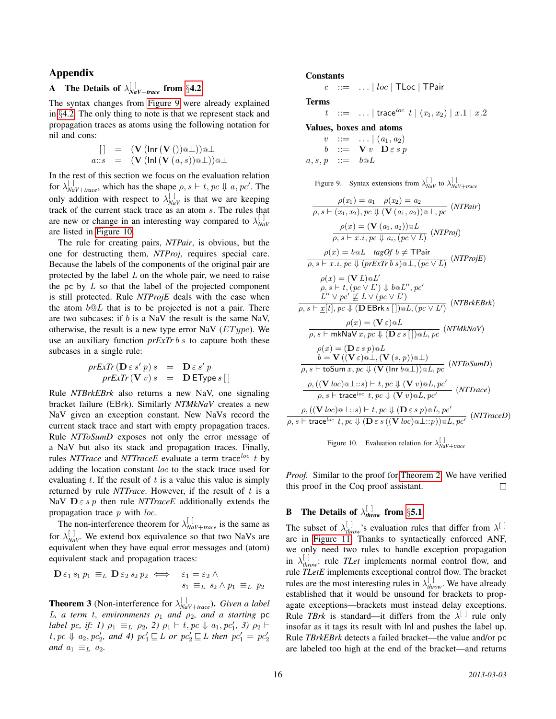### Appendix

# <span id="page-15-0"></span>**A** The Details of  $\lambda_{\textit{NaV+trace}}^{[~]}$  from §[4.2](#page-8-1)

The syntax changes from [Figure 9](#page-15-2) were already explained in §[4.2.](#page-8-1) The only thing to note is that we represent stack and propagation traces as atoms using the following notation for nil and cons:

$$
\begin{array}{rcl} & [ & ] & = & (\mathbf{V} \, (\mathsf{Inr} \, (\mathbf{V} \, (\mathsf{I}) ) \, @\bot)) @\bot \\ a::s & = & (\mathbf{V} \, (\mathsf{Inl} \, (\mathbf{V} \, (a,s)) @\bot)) @\bot \end{array}
$$

In the rest of this section we focus on the evaluation relation for  $\lambda_{\text{NaV+trace}}^{[]}$ , which has the shape  $\rho, s \vdash t, pc \Downarrow a, pc'$ . The only addition with respect to  $\lambda_{\text{NaV}}^{[1]}$  is that we are keeping track of the current stack trace as an atom s. The rules that are new or change in an interesting way compared to  $\lambda_{\text{NaV}}^{[~]}$ are listed in [Figure 10.](#page-15-3)

The rule for creating pairs, *NTPair*, is obvious, but the one for destructing them, *NTProj*, requires special care. Because the labels of the components of the original pair are protected by the label  $L$  on the whole pair, we need to raise the pc by  $L$  so that the label of the projected component is still protected. Rule *NTProjE* deals with the case when the atom  $b@L$  that is to be projected is not a pair. There are two subcases: if  $b$  is a NaV the result is the same NaV, otherwise, the result is a new type error NaV  $(EType)$ . We use an auxiliary function *prExTr* b s to capture both these subcases in a single rule:

$$
prExTr\left(\mathbf{D} \varepsilon s' p\right) s = \mathbf{D} \varepsilon s' p
$$
  

$$
prExTr\left(\mathbf{V} v\right) s = \mathbf{D} \mathbf{E} \text{Type } s \left[ \right]
$$

Rule *NTBrkEBrk* also returns a new NaV, one signaling bracket failure (EBrk). Similarly *NTMkNaV* creates a new NaV given an exception constant. New NaVs record the current stack trace and start with empty propagation traces. Rule *NTToSumD* exposes not only the error message of a NaV but also its stack and propagation traces. Finally, rules *NTTrace* and *NTTraceE* evaluate a term trace  $\int$  t by adding the location constant loc to the stack trace used for evaluating  $t$ . If the result of  $t$  is a value this value is simply returned by rule *NTTrace*. However, if the result of t is a NaV  $D \varepsilon s p$  then rule *NTTraceE* additionally extends the propagation trace  $p$  with *loc*.

The non-interference theorem for  $\lambda_{NaV+trace}^{[]}$  is the same as for  $\lambda_{\text{NaV}}^{[1]}$ . We extend box equivalence so that two NaVs are equivalent when they have equal error messages and (atom) equivalent stack and propagation traces:

$$
\mathbf{D}\,\varepsilon_1\,s_1\,p_1\,\equiv_L\,\mathbf{D}\,\varepsilon_2\,s_2\,p_2\,\iff\quad\varepsilon_1=\varepsilon_2\,\land\,\\s_1\,\equiv_L\,s_2\,\land\,p_1\,\equiv_L\,p_2
$$

**Theorem 3** (Non-interference for  $\lambda_{\text{NaV+trace}}^{[~]}$ ). *Given a label* L, a term t, environments  $\rho_1$  and  $\rho_2$ , and a starting pc *label pc, if: 1)*  $\rho_1 \equiv_L \rho_2$ , 2)  $\rho_1 \vdash t, pc \Downarrow a_1, pc'_1$ , 3)  $\rho_2 \vdash$  $t, pc \Downarrow a_2, pc'_2$ , and 4)  $pc'_1 \sqsubseteq L$  or  $pc'_2 \sqsubseteq L$  then  $pc'_1 = pc'_2$ *and*  $a_1 \equiv_L a_2$ *.* 

#### Constants

 $c$  ::= ... | loc | TLoc | TPair

Terms

$$
t \quad ::= \quad \ldots \mid \textsf{trace}^{loc} \; t \; | \; (x_1, x_2) \; | \; x.1 \; | \; x.2
$$

Values, boxes and atoms

$$
\begin{array}{rcl}\nv & ::= & \ldots \mid (a_1, a_2) \\
b & ::= & \mathbf{V} \, v \mid \mathbf{D} \, \varepsilon \, s \, p \\
a, s, p & ::= & b \, \mathbf{\omega} \, L\n\end{array}
$$

<span id="page-15-2"></span>Figure 9. Syntax extensions from  $\lambda_{NaV}^{[]}$  to  $\lambda_{NaV+trace}^{[]}$ 

$$
\rho(x_1) = a_1 \quad \rho(x_2) = a_2
$$
\n
$$
\overline{\rho, s \vdash (x_1, x_2), pc \Downarrow (V (a_1, a_2)) \otimes \bot}, pc \quad (NTPair)
$$
\n
$$
\rho(x) = (V (a_1, a_2)) \otimes L \quad (NTProj)
$$
\n
$$
\rho(x) = b \otimes L \quad tagOf \quad b \neq \text{TPai}
$$
\n
$$
\rho(x) = b \otimes L \quad tagOf \quad b \neq \text{TPai}
$$
\n
$$
\rho(x) = (V L) \otimes L'
$$
\n
$$
\rho(x) = (V L) \otimes L'
$$
\n
$$
\rho(x) = (V L) \otimes L'
$$
\n
$$
\rho(x) = (V L) \otimes L'
$$
\n
$$
\rho(x) = (V L) \otimes L'
$$
\n
$$
\rho(x) = (V L) \otimes L'
$$
\n
$$
\rho(x) = (V L) \otimes L
$$
\n
$$
\rho(x) = (V L) \otimes L
$$
\n
$$
\rho(x) = (V L) \otimes L
$$
\n
$$
\rho(x) = (V L) \otimes L
$$
\n
$$
\rho(x) = (V L) \otimes L
$$
\n
$$
\rho(x) = (V L) \otimes L
$$
\n
$$
\rho(x) = (V L) \otimes L
$$
\n
$$
\rho(x) = (V L) \otimes L
$$
\n
$$
\rho(x) = (V L) \otimes L
$$
\n
$$
\rho(x) = (V L) \otimes L
$$
\n
$$
\rho(x) = (V L) \otimes L
$$
\n
$$
\rho(x) = (V L) \otimes L
$$
\n
$$
\rho(x) = (V L) \otimes L
$$
\n
$$
\rho(x) = (V L) \otimes L
$$
\n
$$
\rho(x) = (V L) \otimes L
$$
\n
$$
\rho(x) = (V L) \otimes L
$$
\n
$$
\rho(x) = (V L) \otimes L
$$
\n
$$
\rho(x) = (V L) \otimes L
$$
\n
$$
\rho(x) = (V L) \otimes L
$$
\n
$$
\rho(x) = (V L) \otimes L
$$
\n

<span id="page-15-3"></span>Figure 10. Evaluation relation for  $\lambda_{\text{NaV}+ \text{trace}}^{\text{[1]}}$ 

*Proof.* Similar to the proof for [Theorem 2.](#page-8-4) We have verified this proof in the Coq proof assistant.  $\Box$ 

# <span id="page-15-1"></span>**B** The Details of  $\lambda_{\text{throw}}^{[~]}$  from §[5.1](#page-8-5)

The subset of  $\lambda_{\text{throw}}^{[j]}$ 's evaluation rules that differ from  $\lambda^{[j]}$ are in [Figure 11.](#page-16-0) Thanks to syntactically enforced ANF, we only need two rules to handle exception propagation in  $\lambda_{\text{throw}}^{[]}$  rule *TLet* implements normal control flow, and rule *TLetE* implements exceptional control flow. The bracket rules are the most interesting rules in  $\lambda_{\text{throw}}^{[]}$ . We have already established that it would be unsound for brackets to propagate exceptions—brackets must instead delay exceptions. Rule *TBrk* is standard—it differs from the  $\lambda^{[\ ]}$  rule only insofar as it tags its result with Inl and pushes the label up. Rule *TBrkEBrk* detects a failed bracket—the value and/or pc are labeled too high at the end of the bracket—and returns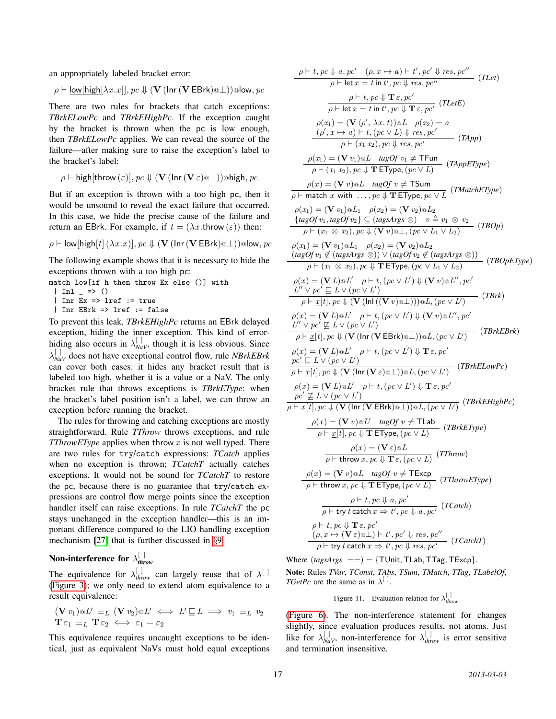an appropriately labeled bracket error:

$$
\rho \vdash \underline{\mathsf{low}[\mathsf{high}[\lambda x.x]], pc} \Downarrow (\mathbf{V} \, (\mathsf{Inr} \, (\mathbf{V} \, \mathsf{EBrk}) \textcircled{a}\bot)) \textcircled{a} \mathsf{low}, pc
$$

There are two rules for brackets that catch exceptions: *TBrkELowPc* and *TBrkEHighPc*. If the exception caught by the bracket is thrown when the pc is low enough, then *TBrkELowPc* applies. We can reveal the source of the failure—after making sure to raise the exception's label to the bracket's label:

$$
\rho \vdash \underline{\mathsf{high}}[\mathsf{throw}(\varepsilon)], pc \Downarrow (\mathbf{V}(\mathsf{Inr}(\mathbf{V}\varepsilon) \text{@}\bot))\text{@high}, pc
$$

But if an exception is thrown with a too high pc, then it would be unsound to reveal the exact failure that occurred. In this case, we hide the precise cause of the failure and return an EBrk. For example, if  $t = (\lambda x.throw(\varepsilon))$  then:

$$
\rho \vdash \underline{\mathsf{low}[\mathsf{high}[t]\,(\lambda x.x)], \mathit{pc} \Downarrow (\mathbf{V}(\mathsf{Inr}\,(\mathbf{V}\,\mathsf{EBrk})\textcircled{1})) \textcircled{1}\text{ow}, \mathit{pc}
$$

The following example shows that it is necessary to hide the exceptions thrown with a too high pc:

$$
\begin{array}{ll}\n\text{match low} \text{[if h then throw Ex else ()]} \text{ with } \\
\mid \text{ Inl } \_ \ \text{=} \text{> ()}\n\end{array}
$$

| Inr Ex => lref := true

| Inr EBrk => lref := false

To prevent this leak, *TBrkEHighPc* returns an EBrk delayed exception, hiding the inner exception. This kind of errorhiding also occurs in  $\lambda_{NaV}^{[]}$ , though it is less obvious. Since  $\lambda_{\text{NaV}}^{[]}$  does not have exceptional control flow, rule *NBrkEBrk* can cover both cases: it hides any bracket result that is labeled too high, whether it is a value or a NaV. The only bracket rule that throws exceptions is *TBrkEType*: when the bracket's label position isn't a label, we can throw an exception before running the bracket.

The rules for throwing and catching exceptions are mostly straightforward. Rule *TThrow* throws exceptions, and rule *TThrowEType* applies when throw x is not well typed. There are two rules for try/catch expressions: *TCatch* applies when no exception is thrown; *TCatchT* actually catches exceptions. It would not be sound for *TCatchT* to restore the pc, because there is no guarantee that try/catch expressions are control flow merge points since the exception handler itself can raise exceptions. In rule *TCatchT* the pc stays unchanged in the exception handler—this is an important difference compared to the LIO handling exception mechanism [\[27\]](#page-14-16) that is further discussed in §[9.](#page-12-0)

#### Non-interference for  $\lambda_{thr}^{[~]}$ *throw*

The equivalence for  $\lambda_{\text{throw}}^{[]}$  can largely reuse that of  $\lambda^{[]}$ [\(Figure 3\)](#page-6-1); we only need to extend atom equivalence to a result equivalence:

$$
(\mathbf{V} \ v_1) \otimes L' \equiv_L (\mathbf{V} \ v_2) \otimes L' \iff L' \sqsubseteq L \implies v_1 \equiv_L v_2
$$
  

$$
\mathbf{T} \varepsilon_1 \equiv_L \mathbf{T} \varepsilon_2 \iff \varepsilon_1 = \varepsilon_2
$$

This equivalence requires uncaught exceptions to be identical, just as equivalent NaVs must hold equal exceptions

$$
\frac{\rho \vdash t, pc \Downarrow a, pc'} (\rho, x \mapsto a) \vdash t', pc' \Downarrow res, pc''}{\rho \vdash \text{let } x = t \text{ in } t', pc \Downarrow res, pc''} (TLet)
$$
\n
$$
\frac{\rho \vdash t}{\rho \vdash \text{let } x = t \text{ in } t', pc \Downarrow T \varepsilon, pc'} (TLet)
$$
\n
$$
\frac{\rho \vdash t}{\rho \vdash \text{let } x = t \text{ in } t', pc \Downarrow T \varepsilon, pc'} (TLet)
$$
\n
$$
\rho(x_1) = (\nabla \langle \rho', \lambda x, t \rangle) \otimes L \rho(x_2) = a
$$
\n
$$
(\rho', x \mapsto a) \vdash t, (\rho c \lor L) \Downarrow res, pc' \qquad (TApp)
$$
\n
$$
\rho(x_1) = (\nabla v_1) \otimes L \tag{eq} v_1 \nRightarrow, pc' \qquad (TApp)
$$
\n
$$
\frac{\rho(x_1) = (\nabla v_1) \otimes L \tag{eq} v_1 \nRightarrow T \text{Fun} (TAppE)
$$
\n
$$
\frac{\rho(x) = (\nabla v_1) \otimes L \tag{eq} v_1 \nRightarrow T \text{Fun} (TAppE)
$$
\n
$$
\frac{\rho(x) = (\nabla v_1) \otimes L \tag{eq} v_1 \nRightarrow T \text{Fun} (TAppE)
$$
\n
$$
\frac{\rho(x_1) = (\nabla v_1) \otimes L \tag{eq} v_1 \nRightarrow T \text{Fun} (TAppE)
$$
\n
$$
\frac{\rho(x_1) = (\nabla v_1) \otimes L \tag{eq} v_2 \nRightarrow (\nabla v_2) \otimes L \tag{rad} \text{Map} (T) \text{Map} (T) \text{Map} (T) \text{Map} (T) \text{Map} (T)
$$
\n
$$
\frac{\rho(x_1) = (\nabla v_1) \otimes L \tag{eq} v_2 \nRightarrow (\nabla v_2) \otimes L \tag{rad} \text{Map} (T) \text{Map} (T)
$$
\n
$$
\frac{\rho(x_1) = (\nabla v_1) \otimes L \tag{eq} v_2 \nRightarrow (\nabla v_2) \otimes L \text{Map} (T) \text{Map} (T)
$$
\n

Where  $(tagsArgs ==) =$  {TUnit, TLab, TTag, TExcp}. Note: Rules *TVar*, *TConst*, *TAbs*, *TSum*, *TMatch*, *TTag*, *TLabelOf*, *TGetPc* are the same as in  $\lambda^{[]}$ .

<span id="page-16-0"></span>Figure 11. Evaluation relation for  $\lambda_{\text{throw}}^{[]}$ 

[\(Figure 6\)](#page-8-2). The non-interference statement for changes slightly, since evaluation produces results, not atoms. Just like for  $\lambda_{\text{NaV}}^{[]}$ , non-interference for  $\lambda_{\text{throw}}^{[]}$  is error sensitive and termination insensitive.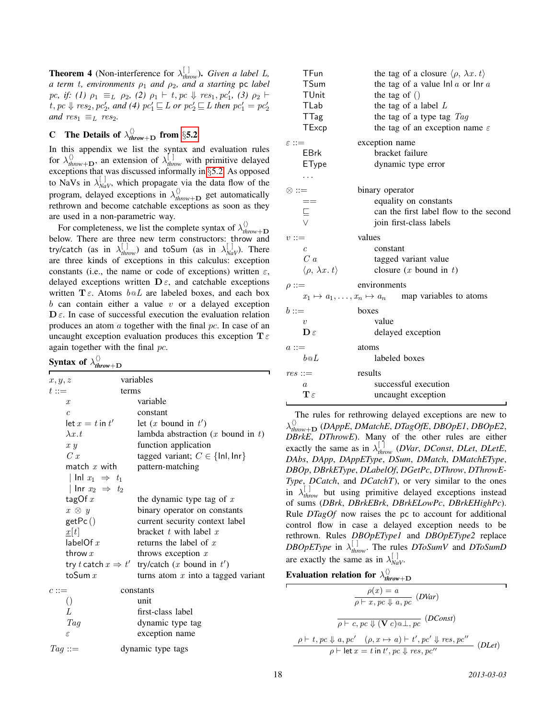**Theorem 4** (Non-interference for  $\lambda_{\text{throw}}^{[]}$ ). *Given a label L*, *a term t, environments*  $\rho_1$  *and*  $\rho_2$ *, and a starting* pc *label*  $pc, if: (1)$   $\rho_1 \equiv_L \rho_2, (2)$   $\rho_1 \vdash t, pc \Downarrow res_1, pc'_1, (3)$   $\rho_2 \vdash$  $t, pc \Downarrow res_2, pc'_2$ , and (4)  $pc'_1 \sqsubseteq L$  or  $pc'_2 \sqsubseteq L$  then  $pc'_1 = pc'_2$ *and*  $res_1 \equiv_L res_2$ .

# <span id="page-17-0"></span>**C** The Details of  $\lambda_{\text{throw}+\text{D}}^{(i)}$  from §[5.2](#page-9-0)

In this appendix we list the syntax and evaluation rules for  $\lambda_{\text{throw}+\mathbf{D}}^{(n)}$ , an extension of  $\lambda_{\text{throw}}^{[n]}$  with primitive delayed exceptions that was discussed informally in §[5.2.](#page-9-0) As opposed to NaVs in  $\lambda_{\text{NaV}}^{[]}$ , which propagate via the data flow of the program, delayed exceptions in  $\lambda_{\text{throw}+D}^{(i)}$  get automatically rethrown and become catchable exceptions as soon as they are used in a non-parametric way.

For completeness, we list the complete syntax of  $\lambda_{th}^{(n)}$ *throw*+D below. There are three new term constructors: throw and try/catch (as in  $\lambda_{\text{throw}}^{[~]}$ ) and toSum (as in  $\lambda_{\text{Nav}}^{[~]}$ ). There are three kinds of exceptions in this calculus: exception constants (i.e., the name or code of exceptions) written  $\varepsilon$ , delayed exceptions written  $\mathbf{D} \varepsilon$ , and catchable exceptions written  $\mathbf{T} \varepsilon$ . Atoms  $b \otimes L$  are labeled boxes, and each box  $b$  can contain either a value  $v$  or a delayed exception  $\mathbf{D}\varepsilon$ . In case of successful execution the evaluation relation produces an atom a together with the final pc. In case of an uncaught exception evaluation produces this exception  $T \epsilon$ again together with the final pc.

#### Syntax of  $\lambda_{th}^{(1)}$ *throw*+D

| x, y, z                   | variables                                                |
|---------------------------|----------------------------------------------------------|
| $t ::=$                   | terms                                                    |
| $\boldsymbol{x}$          | variable                                                 |
| $\overline{c}$            | constant                                                 |
| $\det x = t$ in $t'$      | let $(x$ bound in $t'$ )                                 |
| $\lambda x.t$             | lambda abstraction $(x$ bound in $t$ )                   |
| x y                       | function application                                     |
| C x                       | tagged variant; $C \in \{\text{Inl}, \text{Inr}\}\$      |
| match $x$ with            | pattern-matching                                         |
| Inl $x_1 \Rightarrow t_1$ |                                                          |
| Inr $x_2 \Rightarrow t_2$ |                                                          |
| tagOf $x$                 | the dynamic type tag of $x$                              |
| $x \otimes y$             | binary operator on constants                             |
| getPc()                   | current security context label                           |
| $\mathbf{I}[t]$           | bracket $t$ with label $x$                               |
| labelOf $x$               | returns the label of $x$                                 |
| throw $x$                 | throws exception $x$                                     |
|                           | try t catch $x \Rightarrow t'$ try/catch (x bound in t') |
| toSum $x$                 | turns atom $x$ into a tagged variant                     |
| $c ::=$                   | constants                                                |
| $\left(\right)$           | unit                                                     |
| L                         | first-class label                                        |
| Tag                       | dynamic type tag                                         |
| $\varepsilon$             | exception name                                           |
| $Tag ::=$                 | dynamic type tags                                        |

| TFun<br>TSum<br>TUnit<br>TLab<br>TTag<br>TExcp<br>$\varepsilon ::=$             | the tag of a closure $\langle \rho, \lambda x. t \rangle$<br>the tag of a value $ln a$ or $ln a$<br>the tag of $()$<br>the tag of a label $L$<br>the tag of a type tag $Tag$<br>the tag of an exception name $\varepsilon$<br>exception name |
|---------------------------------------------------------------------------------|----------------------------------------------------------------------------------------------------------------------------------------------------------------------------------------------------------------------------------------------|
| <b>EBrk</b>                                                                     | bracket failure                                                                                                                                                                                                                              |
| EType                                                                           | dynamic type error                                                                                                                                                                                                                           |
| .                                                                               |                                                                                                                                                                                                                                              |
| $\otimes ::=$<br>$\begin{array}{c}\n== \\ \sqsubseteq \\ \searrow\n\end{array}$ | binary operator<br>equality on constants<br>can the first label flow to the second<br>join first-class labels                                                                                                                                |
| $v ::=$                                                                         | values                                                                                                                                                                                                                                       |
| $\mathfrak{c}$                                                                  | constant                                                                                                                                                                                                                                     |
| C <sub>a</sub>                                                                  | tagged variant value                                                                                                                                                                                                                         |
| $\langle \rho, \lambda x. t \rangle$                                            | closure $(x$ bound in $t$ )                                                                                                                                                                                                                  |
| $\rho ::=$                                                                      | environments                                                                                                                                                                                                                                 |
|                                                                                 | $x_1 \mapsto a_1, \dots, x_n \mapsto a_n$ map variables to atoms                                                                                                                                                                             |
| $b ::=$                                                                         | boxes                                                                                                                                                                                                                                        |
| $\boldsymbol{v}$                                                                | value                                                                                                                                                                                                                                        |
| $\mathbf{D}\varepsilon$                                                         | delayed exception                                                                                                                                                                                                                            |
| $a ::=$                                                                         | atoms                                                                                                                                                                                                                                        |
| b@L                                                                             | labeled boxes                                                                                                                                                                                                                                |
| $res ::=$                                                                       | results                                                                                                                                                                                                                                      |
| $\boldsymbol{a}$                                                                | successful execution                                                                                                                                                                                                                         |
| $\mathbf{T}\,\varepsilon$                                                       | uncaught exception                                                                                                                                                                                                                           |

The rules for rethrowing delayed exceptions are new to λ hi *throw*+<sup>D</sup> (*DAppE*, *DMatchE*, *DTagOfE*, *DBOpE1*, *DBOpE2*, *DBrkE*, *DThrowE*). Many of the other rules are either exactly the same as in  $\lambda_{\text{throw}}^{[]}$  (*DVar*, *DConst*, *DLet*, *DLetE*, *DAbs*, *DApp*, *DAppEType*, *DSum*, *DMatch*, *DMatchEType*, *DBOp*, *DBrkEType*, *DLabelOf*, *DGetPc*, *DThrow*, *DThrowE-Type*, *DCatch*, and *DCatchT*), or very similar to the ones in  $\lambda_{\text{throw}}^{[]}$  but using primitive delayed exceptions instead of sums (*DBrk*, *DBrkEBrk*, *DBrkELowPc*, *DBrkEHighPc*). Rule *DTagOf* now raises the pc to account for additional control flow in case a delayed exception needs to be rethrown. Rules *DBOpEType1* and *DBOpEType2* replace *DBOpEType* in  $\lambda_{\text{throw}}^{[]}$ . The rules *DToSumV* and *DToSumD* are exactly the same as in  $\lambda_{\text{NaV}}^{[]}$ .

| Evaluation relation for $\lambda_{\text{throw}+1}^{\langle\rangle}$ |  |  |  |
|---------------------------------------------------------------------|--|--|--|
|---------------------------------------------------------------------|--|--|--|

$$
\frac{\rho(x) = a}{\rho \vdash x, pc \Downarrow a, pc} \quad (DVar)
$$
\n
$$
\frac{}{\rho \vdash c, pc \Downarrow (\mathbf{V}c) \text{a} \perp, pc} \quad (DConst)
$$
\n
$$
\frac{}{\rho \vdash t, pc \Downarrow a, pc' \quad (\rho, x \mapsto a) \vdash t', pc' \Downarrow res, pc''}{\rho \vdash \text{let } x = t \text{ in } t', pc \Downarrow res, pc''} \quad (DLet)
$$

Ē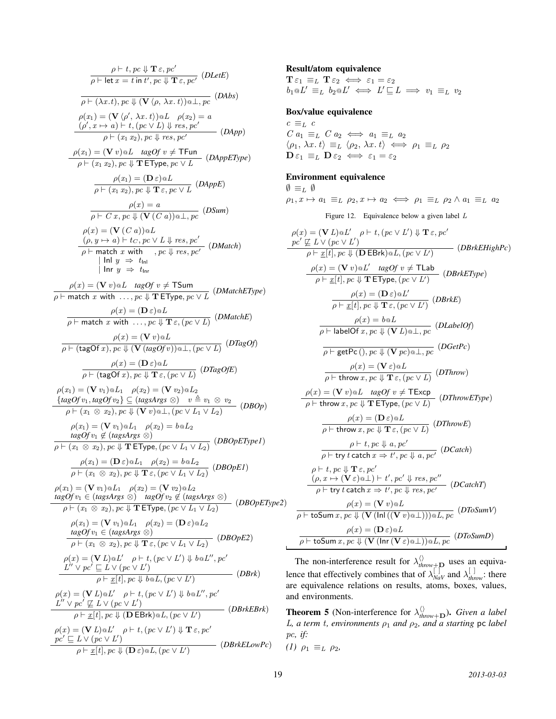$$
\frac{\rho \vdash t, p \cdot e \Downarrow T \varepsilon, p \cdot e'}{\rho \vdash \text{let } x = t \text{ in } t', p \cdot e \Downarrow T \varepsilon, p \cdot e'} \quad (DLetE)
$$
\n
$$
\frac{\rho \vdash t, x = t \text{ in } t', p \cdot e \Downarrow T \varepsilon, p \cdot e'}{\rho \vdash (\lambda x.t) \text{)} \text{e} \downarrow (\lambda x.t) \text{e} \downarrow (\lambda x.t) \text{e} \downarrow (\lambda x.t) \text{e} \downarrow (\lambda x.t) \text{e} \downarrow (\lambda x.t) \text{e} \downarrow (\lambda x.t) \text{e} \downarrow (\lambda x.t) \text{e} \downarrow (\lambda x.t) \text{e} \downarrow (\lambda x.t) \text{e} \downarrow (\lambda x.t) \text{e} \downarrow (\lambda x.t) \text{e} \downarrow (\lambda x.t) \text{e} \downarrow (\lambda x.t) \text{e} \downarrow (\lambda x.t) \text{e} \downarrow (\lambda x.t) \text{e} \downarrow (\lambda x.t) \text{e} \downarrow (\lambda x.t) \text{e} \downarrow (\lambda x.t) \text{e} \downarrow (\lambda x.t) \text{e} \downarrow (\lambda x.t) \text{e} \downarrow (\lambda x.t) \text{e} \downarrow (\lambda x.t) \text{e} \downarrow (\lambda x.t) \text{e} \downarrow (\lambda x.t) \text{e} \downarrow (\lambda x.t) \text{e} \downarrow (\lambda x.t) \text{e} \downarrow (\lambda x.t) \text{e} \downarrow (\lambda x.t) \text{e} \downarrow (\lambda x.t) \text{e} \downarrow (\lambda x.t) \text{e} \downarrow (\lambda x.t) \text{e} \downarrow (\lambda x.t) \text{e} \downarrow (\lambda x.t) \text{e} \downarrow (\lambda x.t) \text{e} \downarrow (\lambda x.t) \text{e} \downarrow (\lambda x.t) \text{e} \downarrow (\lambda x.t) \text{e} \downarrow (\lambda x.t) \text{e} \downarrow (\lambda x.t) \text{e} \downarrow (\lambda x.t) \text{e} \downarrow (\lambda x.t) \text{e} \downarrow (\lambda x.t) \text{e} \downarrow (\lambda x.t) \text{e} \downarrow (\lambda x.t) \text{e} \downarrow (\lambda x.t) \text{e} \downarrow (\lambda x.t) \text{e} \downarrow (\lambda x.t) \text{e} \downarrow (\lambda x.t) \text{e}
$$

### Result/atom equivalence

 $\mathbf{T}\,\varepsilon_1 \equiv_L \mathbf{T}\,\varepsilon_2 \iff \varepsilon_1 = \varepsilon_2$  $b_1 \otimes L' \equiv_L b_2 \otimes L' \iff L' \sqsubseteq L \implies v_1 \equiv_L v_2$ 

### Box/value equivalence

 $c \equiv_L c$  $C\ a_1\ \equiv_L\ C\ a_2\ \Longleftrightarrow\ a_1\ \equiv_L\ a_2$  $\langle \rho_1, \lambda x. t \rangle \equiv_L \langle \rho_2, \lambda x. t \rangle \iff \rho_1 \equiv_L \rho_2$  $\mathbf{D}\varepsilon_1 \equiv_L \mathbf{D}\varepsilon_2 \iff \varepsilon_1 = \varepsilon_2$ 

### Environment equivalence

 $\emptyset \equiv_L \emptyset$  $\rho_1, x \mapsto a_1 \equiv_L \rho_2, x \mapsto a_2 \iff \rho_1 \equiv_L \rho_2 \land a_1 \equiv_L a_2$ 

Figure 12. Equivalence below a given label L

$$
\rho(x) = (\mathbf{V} L) \Phi L' \quad \rho + t, (pc \vee L') \Downarrow \mathbf{T} \varepsilon, pc'
$$
\n
$$
\frac{pc'}{\mathcal{L} L \vee (pc \vee L')}
$$
\n
$$
\frac{pc'}{\mathcal{L} L \vee (pc \vee L')}
$$
\n
$$
\frac{pc'}{\mathcal{L} L \vee (pc \vee L')}
$$
\n
$$
\frac{pc}{\mathcal{L} L}
$$
\n
$$
\frac{pc}{\mathcal{L} L}
$$
\n
$$
\frac{pc}{\mathcal{L} L}
$$
\n
$$
\frac{pc}{\mathcal{L} L}
$$
\n
$$
\frac{pc}{\mathcal{L} L}
$$
\n
$$
\frac{pc}{\mathcal{L} L}
$$
\n
$$
\frac{pc}{\mathcal{L} L}
$$
\n
$$
\frac{pc}{\mathcal{L} L}
$$
\n
$$
\frac{pc}{\mathcal{L} L}
$$
\n
$$
\frac{pc}{\mathcal{L} L}
$$
\n
$$
\frac{pc}{\mathcal{L} L}
$$
\n
$$
\frac{pc}{\mathcal{L} L}
$$
\n
$$
\frac{pc}{\mathcal{L} L}
$$
\n
$$
\frac{pc}{\mathcal{L} L}
$$
\n
$$
\frac{pc}{\mathcal{L} L}
$$
\n
$$
\frac{pc}{\mathcal{L} L}
$$
\n
$$
\frac{pc}{\mathcal{L} L}
$$
\n
$$
\frac{pc}{\mathcal{L} L}
$$
\n
$$
\frac{pc}{\mathcal{L} L}
$$
\n
$$
\frac{pc}{\mathcal{L} L}
$$
\n
$$
\frac{pc}{\mathcal{L} L}
$$
\n
$$
\frac{pc}{\mathcal{L} L}
$$
\n
$$
\frac{pc}{\mathcal{L} L}
$$
\n
$$
\frac{pc}{\mathcal{L} L}
$$
\n
$$
\frac{pc}{\mathcal{L} L}
$$
\n
$$
\frac{pc}{\mathcal{L} L}
$$
\n
$$
\frac{pc}{\mathcal{L} L}
$$
\n
$$
\frac{pc}{\mathcal{L} L}
$$
\n
$$
\frac{pc}{\mathcal{L} L}
$$
\n
$$
\frac{pc}{\math
$$

The non-interference result for  $\lambda_{\text{throw}+\mathbf{D}}^{(1)}$  uses an equivalence that effectively combines that of  $\lambda_{\text{Nav}}^{[j]}$  and  $\lambda_{\text{throw}}^{[j]}$ : there are equivalence relations on results, atoms, boxes, values, and environments.

**Theorem 5** (Non-interference for  $\lambda_{\text{throw+D}}^{(1)}$ ). *Given a label* L, a term t, environments  $\rho_1$  and  $\rho_2$ , and a starting pc label pc*, if:*

<span id="page-18-0"></span>
$$
(1) \ \rho_1 \equiv_L \rho_2,
$$